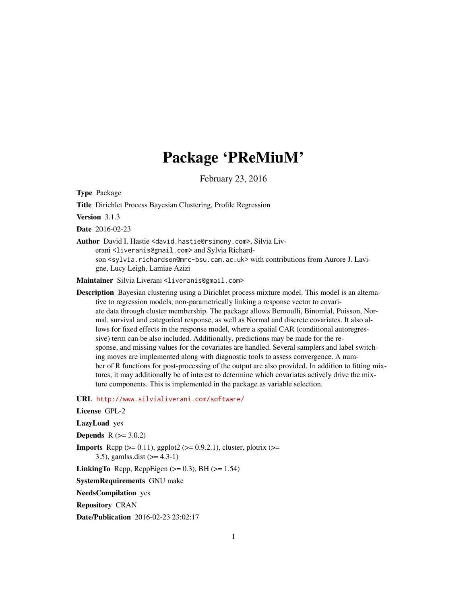# Package 'PReMiuM'

February 23, 2016

Type Package

Title Dirichlet Process Bayesian Clustering, Profile Regression

Version 3.1.3

Date 2016-02-23

Author David I. Hastie <david.hastie@rsimony.com>, Silvia Liverani <liveranis@gmail.com> and Sylvia Richardson <sylvia.richardson@mrc-bsu.cam.ac.uk> with contributions from Aurore J. Lavigne, Lucy Leigh, Lamiae Azizi

Maintainer Silvia Liverani <liveranis@gmail.com>

Description Bayesian clustering using a Dirichlet process mixture model. This model is an alternative to regression models, non-parametrically linking a response vector to covariate data through cluster membership. The package allows Bernoulli, Binomial, Poisson, Normal, survival and categorical response, as well as Normal and discrete covariates. It also allows for fixed effects in the response model, where a spatial CAR (conditional autoregressive) term can be also included. Additionally, predictions may be made for the response, and missing values for the covariates are handled. Several samplers and label switching moves are implemented along with diagnostic tools to assess convergence. A number of R functions for post-processing of the output are also provided. In addition to fitting mixtures, it may additionally be of interest to determine which covariates actively drive the mixture components. This is implemented in the package as variable selection.

URL <http://www.silvialiverani.com/software/>

License GPL-2

LazyLoad yes

**Depends**  $R (= 3.0.2)$ 

**Imports** Rcpp  $(>= 0.11)$ , ggplot $2 (= 0.9.2.1)$ , cluster, plotrix  $(>= 0.9.2.1)$ 

3.5), gamlss.dist (>= 4.3-1)

LinkingTo Rcpp, RcppEigen  $(>= 0.3)$ , BH $(>= 1.54)$ 

SystemRequirements GNU make

NeedsCompilation yes

Repository CRAN

Date/Publication 2016-02-23 23:02:17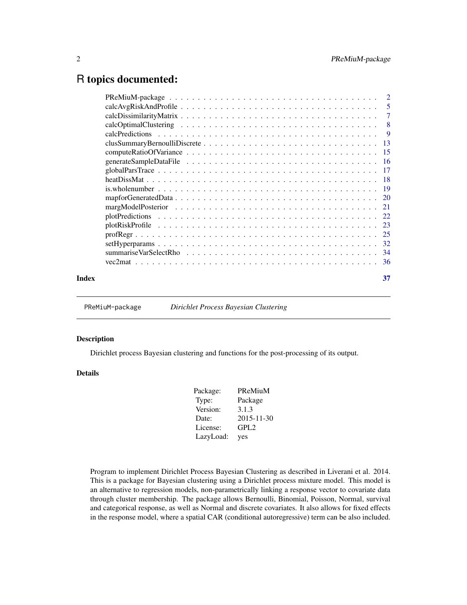# <span id="page-1-0"></span>R topics documented:

| Index | 37 |
|-------|----|
|       |    |

PReMiuM-package *Dirichlet Process Bayesian Clustering*

#### Description

Dirichlet process Bayesian clustering and functions for the post-processing of its output.

# Details

| Package:  | PReMiuM          |
|-----------|------------------|
| Type:     | Package          |
| Version:  | 3.1.3            |
| Date:     | 2015-11-30       |
| License:  | GPL <sub>2</sub> |
| LazyLoad: | yes              |

Program to implement Dirichlet Process Bayesian Clustering as described in Liverani et al. 2014. This is a package for Bayesian clustering using a Dirichlet process mixture model. This model is an alternative to regression models, non-parametrically linking a response vector to covariate data through cluster membership. The package allows Bernoulli, Binomial, Poisson, Normal, survival and categorical response, as well as Normal and discrete covariates. It also allows for fixed effects in the response model, where a spatial CAR (conditional autoregressive) term can be also included.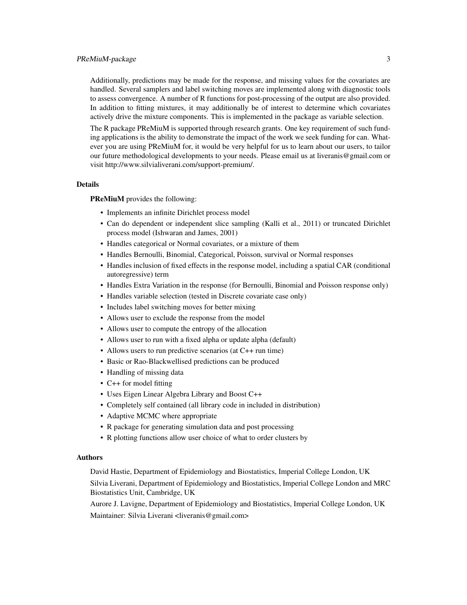# PReMiuM-package 3

Additionally, predictions may be made for the response, and missing values for the covariates are handled. Several samplers and label switching moves are implemented along with diagnostic tools to assess convergence. A number of R functions for post-processing of the output are also provided. In addition to fitting mixtures, it may additionally be of interest to determine which covariates actively drive the mixture components. This is implemented in the package as variable selection.

The R package PReMiuM is supported through research grants. One key requirement of such funding applications is the ability to demonstrate the impact of the work we seek funding for can. Whatever you are using PReMiuM for, it would be very helpful for us to learn about our users, to tailor our future methodological developments to your needs. Please email us at liveranis@gmail.com or visit http://www.silvialiverani.com/support-premium/.

### **Details**

PReMiuM provides the following:

- Implements an infinite Dirichlet process model
- Can do dependent or independent slice sampling (Kalli et al., 2011) or truncated Dirichlet process model (Ishwaran and James, 2001)
- Handles categorical or Normal covariates, or a mixture of them
- Handles Bernoulli, Binomial, Categorical, Poisson, survival or Normal responses
- Handles inclusion of fixed effects in the response model, including a spatial CAR (conditional autoregressive) term
- Handles Extra Variation in the response (for Bernoulli, Binomial and Poisson response only)
- Handles variable selection (tested in Discrete covariate case only)
- Includes label switching moves for better mixing
- Allows user to exclude the response from the model
- Allows user to compute the entropy of the allocation
- Allows user to run with a fixed alpha or update alpha (default)
- Allows users to run predictive scenarios (at C++ run time)
- Basic or Rao-Blackwellised predictions can be produced
- Handling of missing data
- C++ for model fitting
- Uses Eigen Linear Algebra Library and Boost C++
- Completely self contained (all library code in included in distribution)
- Adaptive MCMC where appropriate
- R package for generating simulation data and post processing
- R plotting functions allow user choice of what to order clusters by

#### Authors

David Hastie, Department of Epidemiology and Biostatistics, Imperial College London, UK Silvia Liverani, Department of Epidemiology and Biostatistics, Imperial College London and MRC Biostatistics Unit, Cambridge, UK

Aurore J. Lavigne, Department of Epidemiology and Biostatistics, Imperial College London, UK Maintainer: Silvia Liverani <liveranis@gmail.com>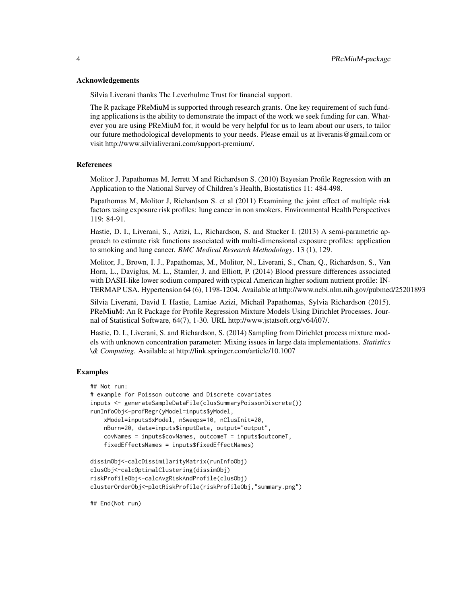#### Acknowledgements

Silvia Liverani thanks The Leverhulme Trust for financial support.

The R package PReMiuM is supported through research grants. One key requirement of such funding applications is the ability to demonstrate the impact of the work we seek funding for can. Whatever you are using PReMiuM for, it would be very helpful for us to learn about our users, to tailor our future methodological developments to your needs. Please email us at liveranis@gmail.com or visit http://www.silvialiverani.com/support-premium/.

#### References

Molitor J, Papathomas M, Jerrett M and Richardson S. (2010) Bayesian Profile Regression with an Application to the National Survey of Children's Health, Biostatistics 11: 484-498.

Papathomas M, Molitor J, Richardson S. et al (2011) Examining the joint effect of multiple risk factors using exposure risk profiles: lung cancer in non smokers. Environmental Health Perspectives 119: 84-91.

Hastie, D. I., Liverani, S., Azizi, L., Richardson, S. and Stucker I. (2013) A semi-parametric approach to estimate risk functions associated with multi-dimensional exposure profiles: application to smoking and lung cancer. *BMC Medical Research Methodology*. 13 (1), 129.

Molitor, J., Brown, I. J., Papathomas, M., Molitor, N., Liverani, S., Chan, Q., Richardson, S., Van Horn, L., Daviglus, M. L., Stamler, J. and Elliott, P. (2014) Blood pressure differences associated with DASH-like lower sodium compared with typical American higher sodium nutrient profile: IN-TERMAP USA. Hypertension 64 (6), 1198-1204. Available at http://www.ncbi.nlm.nih.gov/pubmed/25201893

Silvia Liverani, David I. Hastie, Lamiae Azizi, Michail Papathomas, Sylvia Richardson (2015). PReMiuM: An R Package for Profile Regression Mixture Models Using Dirichlet Processes. Journal of Statistical Software, 64(7), 1-30. URL http://www.jstatsoft.org/v64/i07/.

Hastie, D. I., Liverani, S. and Richardson, S. (2014) Sampling from Dirichlet process mixture models with unknown concentration parameter: Mixing issues in large data implementations. *Statistics \& Computing*. Available at http://link.springer.com/article/10.1007

#### Examples

```
## Not run:
# example for Poisson outcome and Discrete covariates
inputs <- generateSampleDataFile(clusSummaryPoissonDiscrete())
runInfoObj<-profRegr(yModel=inputs$yModel,
   xModel=inputs$xModel, nSweeps=10, nClusInit=20,
   nBurn=20, data=inputs$inputData, output="output",
   covNames = inputs$covNames, outcomeT = inputs$outcomeT,
   fixedEffectsNames = inputs$fixedEffectNames)
```

```
dissimObj<-calcDissimilarityMatrix(runInfoObj)
clusObj<-calcOptimalClustering(dissimObj)
riskProfileObj<-calcAvgRiskAndProfile(clusObj)
clusterOrderObj<-plotRiskProfile(riskProfileObj,"summary.png")
```
## End(Not run)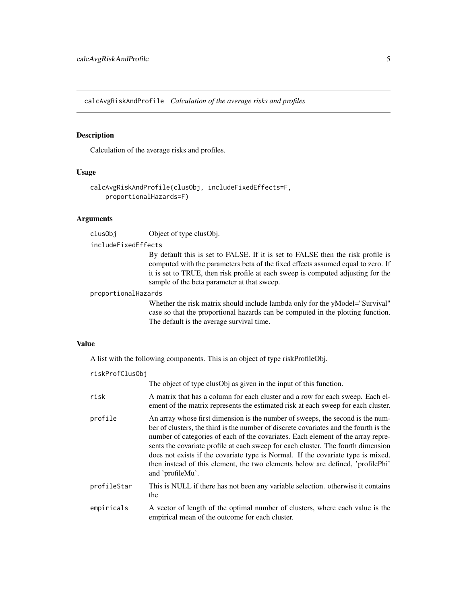<span id="page-4-0"></span>calcAvgRiskAndProfile *Calculation of the average risks and profiles*

# Description

Calculation of the average risks and profiles.

# Usage

```
calcAvgRiskAndProfile(clusObj, includeFixedEffects=F,
   proportionalHazards=F)
```
# Arguments

clusObj Object of type clusObj.

#### includeFixedEffects

By default this is set to FALSE. If it is set to FALSE then the risk profile is computed with the parameters beta of the fixed effects assumed equal to zero. If it is set to TRUE, then risk profile at each sweep is computed adjusting for the sample of the beta parameter at that sweep.

# proportionalHazards

Whether the risk matrix should include lambda only for the yModel="Survival" case so that the proportional hazards can be computed in the plotting function. The default is the average survival time.

# Value

A list with the following components. This is an object of type riskProfileObj.

| riskProfClusObj |                                                                                                                                                                                                                                                                                                                                                                                                                                                                                                                                           |
|-----------------|-------------------------------------------------------------------------------------------------------------------------------------------------------------------------------------------------------------------------------------------------------------------------------------------------------------------------------------------------------------------------------------------------------------------------------------------------------------------------------------------------------------------------------------------|
|                 | The object of type clusObj as given in the input of this function.                                                                                                                                                                                                                                                                                                                                                                                                                                                                        |
| risk            | A matrix that has a column for each cluster and a row for each sweep. Each el-<br>ement of the matrix represents the estimated risk at each sweep for each cluster.                                                                                                                                                                                                                                                                                                                                                                       |
| profile         | An array whose first dimension is the number of sweeps, the second is the num-<br>ber of clusters, the third is the number of discrete covariates and the fourth is the<br>number of categories of each of the covariates. Each element of the array repre-<br>sents the covariate profile at each sweep for each cluster. The fourth dimension<br>does not exists if the covariate type is Normal. If the covariate type is mixed,<br>then instead of this element, the two elements below are defined, 'profilePhi'<br>and 'profileMu'. |
| profileStar     | This is NULL if there has not been any variable selection. otherwise it contains<br>the                                                                                                                                                                                                                                                                                                                                                                                                                                                   |
| empiricals      | A vector of length of the optimal number of clusters, where each value is the<br>empirical mean of the outcome for each cluster.                                                                                                                                                                                                                                                                                                                                                                                                          |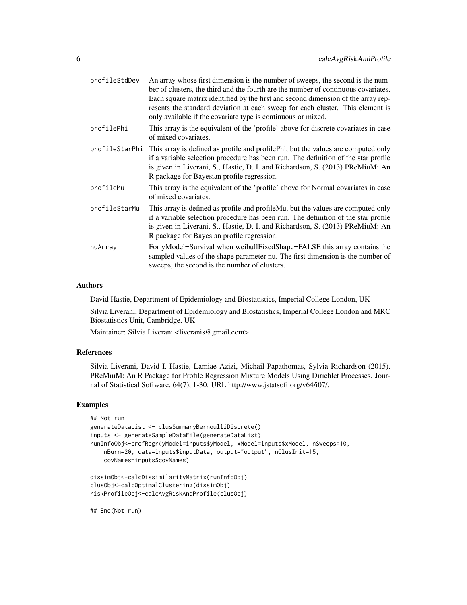| profileStdDev  | An array whose first dimension is the number of sweeps, the second is the num-<br>ber of clusters, the third and the fourth are the number of continuous covariates.<br>Each square matrix identified by the first and second dimension of the array rep-<br>resents the standard deviation at each sweep for each cluster. This element is<br>only available if the covariate type is continuous or mixed. |
|----------------|-------------------------------------------------------------------------------------------------------------------------------------------------------------------------------------------------------------------------------------------------------------------------------------------------------------------------------------------------------------------------------------------------------------|
| profilePhi     | This array is the equivalent of the 'profile' above for discrete covariates in case<br>of mixed covariates.                                                                                                                                                                                                                                                                                                 |
| profileStarPhi | This array is defined as profile and profile Phi, but the values are computed only<br>if a variable selection procedure has been run. The definition of the star profile<br>is given in Liverani, S., Hastie, D. I. and Richardson, S. (2013) PReMiuM: An<br>R package for Bayesian profile regression.                                                                                                     |
| profileMu      | This array is the equivalent of the 'profile' above for Normal covariates in case<br>of mixed covariates.                                                                                                                                                                                                                                                                                                   |
| profileStarMu  | This array is defined as profile and profileMu, but the values are computed only<br>if a variable selection procedure has been run. The definition of the star profile<br>is given in Liverani, S., Hastie, D. I. and Richardson, S. (2013) PReMiuM: An<br>R package for Bayesian profile regression.                                                                                                       |
| nuArray        | For yModel=Survival when weibullFixedShape=FALSE this array contains the<br>sampled values of the shape parameter nu. The first dimension is the number of<br>sweeps, the second is the number of clusters.                                                                                                                                                                                                 |

# Authors

David Hastie, Department of Epidemiology and Biostatistics, Imperial College London, UK

Silvia Liverani, Department of Epidemiology and Biostatistics, Imperial College London and MRC Biostatistics Unit, Cambridge, UK

Maintainer: Silvia Liverani <liveranis@gmail.com>

#### References

Silvia Liverani, David I. Hastie, Lamiae Azizi, Michail Papathomas, Sylvia Richardson (2015). PReMiuM: An R Package for Profile Regression Mixture Models Using Dirichlet Processes. Journal of Statistical Software, 64(7), 1-30. URL http://www.jstatsoft.org/v64/i07/.

#### Examples

```
## Not run:
generateDataList <- clusSummaryBernoulliDiscrete()
inputs <- generateSampleDataFile(generateDataList)
runInfoObj<-profRegr(yModel=inputs$yModel, xModel=inputs$xModel, nSweeps=10,
   nBurn=20, data=inputs$inputData, output="output", nClusInit=15,
   covNames=inputs$covNames)
dissimObj<-calcDissimilarityMatrix(runInfoObj)
clusObj<-calcOptimalClustering(dissimObj)
```
riskProfileObj<-calcAvgRiskAndProfile(clusObj)

## End(Not run)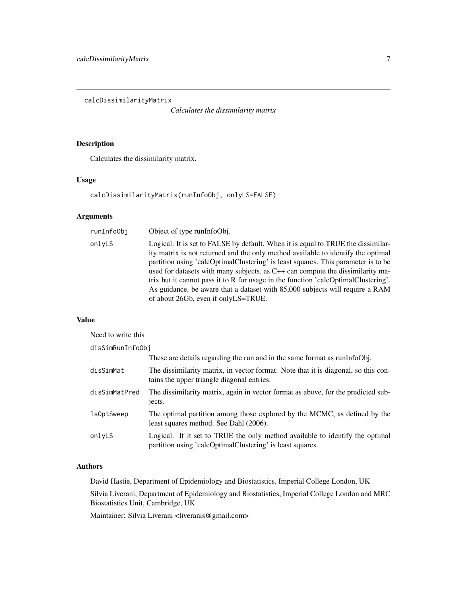<span id="page-6-0"></span>calcDissimilarityMatrix

*Calculates the dissimilarity matrix*

# Description

Calculates the dissimilarity matrix.

# Usage

calcDissimilarityMatrix(runInfoObj, onlyLS=FALSE)

# Arguments

| runInfo0bj | Object of type runInfoObj.                                                                                                                                                                                                                                                                                                                                                                                                                                                                                                                               |
|------------|----------------------------------------------------------------------------------------------------------------------------------------------------------------------------------------------------------------------------------------------------------------------------------------------------------------------------------------------------------------------------------------------------------------------------------------------------------------------------------------------------------------------------------------------------------|
| onlyLS     | Logical. It is set to FALSE by default. When it is equal to TRUE the dissimilar-<br>ity matrix is not returned and the only method available to identify the optimal<br>partition using 'calcOptimalClustering' is least squares. This parameter is to be<br>used for datasets with many subjects, as C++ can compute the dissimilarity ma-<br>trix but it cannot pass it to R for usage in the function 'calcOptimalClustering'.<br>As guidance, be aware that a dataset with 85,000 subjects will require a RAM<br>of about 26Gb, even if onlyLS=TRUE. |

# Value

| Need to write this |                                                                                                                                           |  |
|--------------------|-------------------------------------------------------------------------------------------------------------------------------------------|--|
| disSimRunInfoObj   |                                                                                                                                           |  |
|                    | These are details regarding the run and in the same format as runInfoObj.                                                                 |  |
| disSimMat          | The dissimilarity matrix, in vector format. Note that it is diagonal, so this con-<br>tains the upper triangle diagonal entries.          |  |
| disSimMatPred      | The dissimilarity matrix, again in vector format as above, for the predicted sub-<br>jects.                                               |  |
| lsOptSweep         | The optimal partition among those explored by the MCMC, as defined by the<br>least squares method. See Dahl (2006).                       |  |
| onlyLS             | Logical. If it set to TRUE the only method available to identify the optimal<br>partition using 'calcOptimalClustering' is least squares. |  |

# Authors

David Hastie, Department of Epidemiology and Biostatistics, Imperial College London, UK

Silvia Liverani, Department of Epidemiology and Biostatistics, Imperial College London and MRC Biostatistics Unit, Cambridge, UK

Maintainer: Silvia Liverani <liveranis@gmail.com>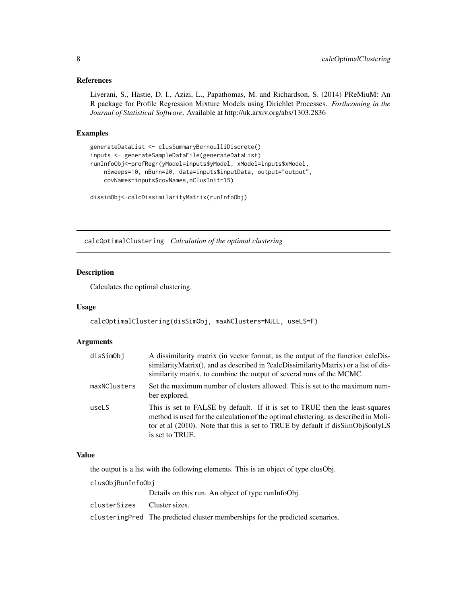#### <span id="page-7-0"></span>References

Liverani, S., Hastie, D. I., Azizi, L., Papathomas, M. and Richardson, S. (2014) PReMiuM: An R package for Profile Regression Mixture Models using Dirichlet Processes. *Forthcoming in the Journal of Statistical Software*. Available at http://uk.arxiv.org/abs/1303.2836

# Examples

```
generateDataList <- clusSummaryBernoulliDiscrete()
inputs <- generateSampleDataFile(generateDataList)
runInfoObj<-profRegr(yModel=inputs$yModel, xModel=inputs$xModel,
    nSweeps=10, nBurn=20, data=inputs$inputData, output="output",
   covNames=inputs$covNames,nClusInit=15)
```

```
dissimObj<-calcDissimilarityMatrix(runInfoObj)
```
calcOptimalClustering *Calculation of the optimal clustering*

# Description

Calculates the optimal clustering.

#### Usage

```
calcOptimalClustering(disSimObj, maxNClusters=NULL, useLS=F)
```
#### Arguments

| disSimObj    | A dissimilarity matrix (in vector format, as the output of the function calcDis-<br>similarityMatrix(), and as described in ?calcDissimilarityMatrix) or a list of dis-<br>similarity matrix, to combine the output of several runs of the MCMC.                          |
|--------------|---------------------------------------------------------------------------------------------------------------------------------------------------------------------------------------------------------------------------------------------------------------------------|
| maxNClusters | Set the maximum number of clusters allowed. This is set to the maximum num-<br>ber explored.                                                                                                                                                                              |
| useLS        | This is set to FALSE by default. If it is set to TRUE then the least-squares<br>method is used for the calculation of the optimal clustering, as described in Moli-<br>tor et al (2010). Note that this is set to TRUE by default if disSimObj\$onlyLS<br>is set to TRUE. |

#### Value

the output is a list with the following elements. This is an object of type clusObj.

clusObjRunInfoObj

Details on this run. An object of type runInfoObj.

clusterSizes Cluster sizes.

clusteringPred The predicted cluster memberships for the predicted scenarios.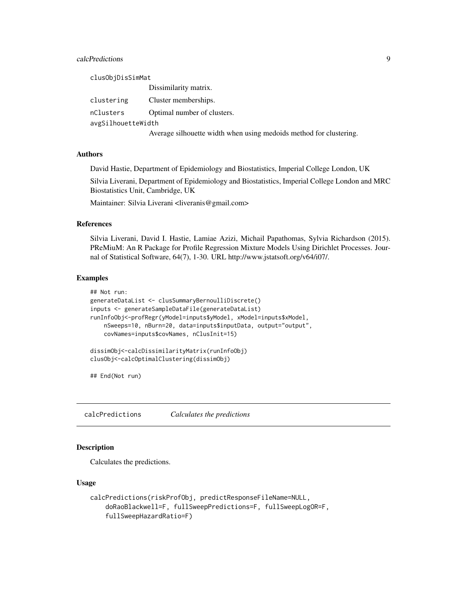# <span id="page-8-0"></span>calcPredictions 9

| clusObjDisSimMat   |                                                                    |
|--------------------|--------------------------------------------------------------------|
|                    | Dissimilarity matrix.                                              |
| clustering         | Cluster memberships.                                               |
| nClusters          | Optimal number of clusters.                                        |
| avgSilhouetteWidth |                                                                    |
|                    | Average silhouette width when using medoids method for clustering. |

#### Authors

David Hastie, Department of Epidemiology and Biostatistics, Imperial College London, UK

Silvia Liverani, Department of Epidemiology and Biostatistics, Imperial College London and MRC Biostatistics Unit, Cambridge, UK

Maintainer: Silvia Liverani <liveranis@gmail.com>

#### References

Silvia Liverani, David I. Hastie, Lamiae Azizi, Michail Papathomas, Sylvia Richardson (2015). PReMiuM: An R Package for Profile Regression Mixture Models Using Dirichlet Processes. Journal of Statistical Software, 64(7), 1-30. URL http://www.jstatsoft.org/v64/i07/.

#### Examples

```
## Not run:
generateDataList <- clusSummaryBernoulliDiscrete()
inputs <- generateSampleDataFile(generateDataList)
runInfoObj<-profRegr(yModel=inputs$yModel, xModel=inputs$xModel,
    nSweeps=10, nBurn=20, data=inputs$inputData, output="output",
    covNames=inputs$covNames, nClusInit=15)
dissimObj<-calcDissimilarityMatrix(runInfoObj)
clusObj<-calcOptimalClustering(dissimObj)
```
## End(Not run)

calcPredictions *Calculates the predictions*

#### **Description**

Calculates the predictions.

# Usage

```
calcPredictions(riskProfObj, predictResponseFileName=NULL,
   doRaoBlackwell=F, fullSweepPredictions=F, fullSweepLogOR=F,
    fullSweepHazardRatio=F)
```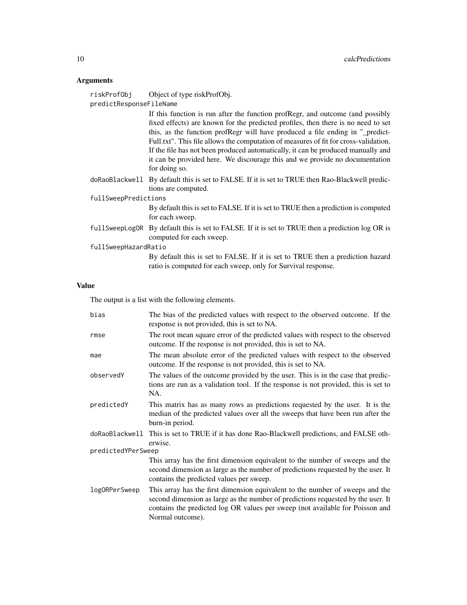# Arguments

| riskProfObi             | Object of type riskProfObj.            |
|-------------------------|----------------------------------------|
| predictResponseFileName |                                        |
|                         | If this function is my often the func- |

If this function is run after the function profRegr, and outcome (and possibly fixed effects) are known for the predicted profiles, then there is no need to set this, as the function profRegr will have produced a file ending in "\_predict-Full.txt". This file allows the computation of measures of fit for cross-validation. If the file has not been produced automatically, it can be produced manually and it can be provided here. We discourage this and we provide no documentation for doing so.

doRaoBlackwell By default this is set to FALSE. If it is set to TRUE then Rao-Blackwell predictions are computed.

# fullSweepPredictions

By default this is set to FALSE. If it is set to TRUE then a prediction is computed for each sweep.

fullSweepLogOR By default this is set to FALSE. If it is set to TRUE then a prediction log OR is computed for each sweep.

#### fullSweepHazardRatio

By default this is set to FALSE. If it is set to TRUE then a prediction hazard ratio is computed for each sweep, only for Survival response.

#### Value

The output is a list with the following elements.

| bias               | The bias of the predicted values with respect to the observed outcome. If the<br>response is not provided, this is set to NA.                                                                                                                                          |
|--------------------|------------------------------------------------------------------------------------------------------------------------------------------------------------------------------------------------------------------------------------------------------------------------|
| rmse               | The root mean square error of the predicted values with respect to the observed<br>outcome. If the response is not provided, this is set to NA.                                                                                                                        |
| mae                | The mean absolute error of the predicted values with respect to the observed<br>outcome. If the response is not provided, this is set to NA.                                                                                                                           |
| observedY          | The values of the outcome provided by the user. This is in the case that predic-<br>tions are run as a validation tool. If the response is not provided, this is set to<br>NA.                                                                                         |
| predictedY         | This matrix has as many rows as predictions requested by the user. It is the<br>median of the predicted values over all the sweeps that have been run after the<br>burn-in period.                                                                                     |
| doRaoBlackwell     | This is set to TRUE if it has done Rao-Blackwell predictions, and FALSE oth-<br>erwise.                                                                                                                                                                                |
| predictedYPerSweep |                                                                                                                                                                                                                                                                        |
|                    | This array has the first dimension equivalent to the number of sweeps and the<br>second dimension as large as the number of predictions requested by the user. It<br>contains the predicted values per sweep.                                                          |
| logORPerSweep      | This array has the first dimension equivalent to the number of sweeps and the<br>second dimension as large as the number of predictions requested by the user. It<br>contains the predicted log OR values per sweep (not available for Poisson and<br>Normal outcome). |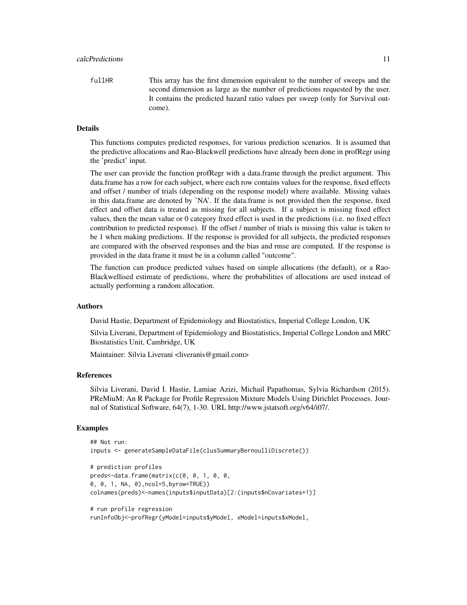fullHR This array has the first dimension equivalent to the number of sweeps and the second dimension as large as the number of predictions requested by the user. It contains the predicted hazard ratio values per sweep (only for Survival outcome).

#### Details

This functions computes predicted responses, for various prediction scenarios. It is assumed that the predictive allocations and Rao-Blackwell predictions have already been done in profRegr using the 'predict' input.

The user can provide the function profRegr with a data.frame through the predict argument. This data.frame has a row for each subject, where each row contains values for the response, fixed effects and offset / number of trials (depending on the response model) where available. Missing values in this data.frame are denoted by 'NA'. If the data.frame is not provided then the response, fixed effect and offset data is treated as missing for all subjects. If a subject is missing fixed effect values, then the mean value or 0 category fixed effect is used in the predictions (i.e. no fixed effect contribution to predicted response). If the offset / number of trials is missing this value is taken to be 1 when making predictions. If the response is provided for all subjects, the predicted responses are compared with the observed responses and the bias and rmse are computed. If the response is provided in the data frame it must be in a column called "outcome".

The function can produce predicted values based on simple allocations (the default), or a Rao-Blackwellised estimate of predictions, where the probabilities of allocations are used instead of actually performing a random allocation.

#### Authors

David Hastie, Department of Epidemiology and Biostatistics, Imperial College London, UK

Silvia Liverani, Department of Epidemiology and Biostatistics, Imperial College London and MRC Biostatistics Unit, Cambridge, UK

Maintainer: Silvia Liverani <liveranis@gmail.com>

#### References

Silvia Liverani, David I. Hastie, Lamiae Azizi, Michail Papathomas, Sylvia Richardson (2015). PReMiuM: An R Package for Profile Regression Mixture Models Using Dirichlet Processes. Journal of Statistical Software, 64(7), 1-30. URL http://www.jstatsoft.org/v64/i07/.

#### Examples

```
## Not run:
inputs <- generateSampleDataFile(clusSummaryBernoulliDiscrete())
# prediction profiles
preds<-data.frame(matrix(c(0, 0, 1, 0, 0,
0, 0, 1, NA, 0),ncol=5,byrow=TRUE))
colnames(preds)<-names(inputs$inputData)[2:(inputs$nCovariates+1)]
# run profile regression
```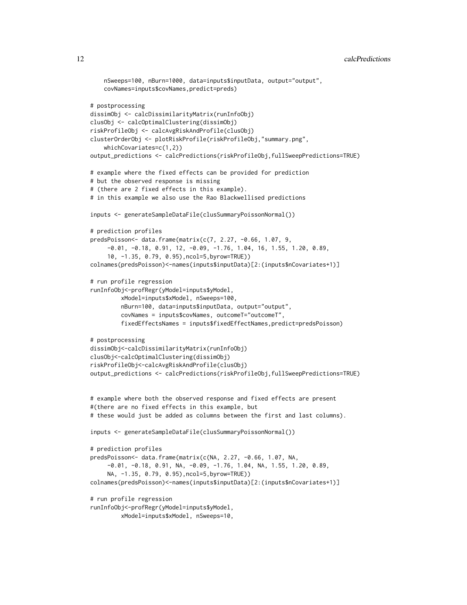```
nSweeps=100, nBurn=1000, data=inputs$inputData, output="output",
    covNames=inputs$covNames,predict=preds)
# postprocessing
dissimObj <- calcDissimilarityMatrix(runInfoObj)
clusObj <- calcOptimalClustering(dissimObj)
riskProfileObj <- calcAvgRiskAndProfile(clusObj)
clusterOrderObj <- plotRiskProfile(riskProfileObj,"summary.png",
    whichCovariates=c(1,2))
output_predictions <- calcPredictions(riskProfileObj,fullSweepPredictions=TRUE)
# example where the fixed effects can be provided for prediction
# but the observed response is missing
# (there are 2 fixed effects in this example).
# in this example we also use the Rao Blackwellised predictions
inputs <- generateSampleDataFile(clusSummaryPoissonNormal())
# prediction profiles
predsPoisson<- data.frame(matrix(c(7, 2.27, -0.66, 1.07, 9,
     -0.01, -0.18, 0.91, 12, -0.09, -1.76, 1.04, 16, 1.55, 1.20, 0.89,
     10, -1.35, 0.79, 0.95),ncol=5,byrow=TRUE))
colnames(predsPoisson)<-names(inputs$inputData)[2:(inputs$nCovariates+1)]
# run profile regression
runInfoObj<-profRegr(yModel=inputs$yModel,
         xModel=inputs$xModel, nSweeps=100,
         nBurn=100, data=inputs$inputData, output="output",
         covNames = inputs$covNames, outcomeT="outcomeT",
         fixedEffectsNames = inputs$fixedEffectNames,predict=predsPoisson)
# postprocessing
dissimObj<-calcDissimilarityMatrix(runInfoObj)
clusObj<-calcOptimalClustering(dissimObj)
riskProfileObj<-calcAvgRiskAndProfile(clusObj)
output_predictions <- calcPredictions(riskProfileObj,fullSweepPredictions=TRUE)
# example where both the observed response and fixed effects are present
#(there are no fixed effects in this example, but
# these would just be added as columns between the first and last columns).
inputs <- generateSampleDataFile(clusSummaryPoissonNormal())
# prediction profiles
predsPoisson<- data.frame(matrix(c(NA, 2.27, -0.66, 1.07, NA,
     -0.01, -0.18, 0.91, NA, -0.09, -1.76, 1.04, NA, 1.55, 1.20, 0.89,
     NA, -1.35, 0.79, 0.95),ncol=5,byrow=TRUE))
colnames(predsPoisson)<-names(inputs$inputData)[2:(inputs$nCovariates+1)]
# run profile regression
runInfoObj<-profRegr(yModel=inputs$yModel,
```

```
xModel=inputs$xModel, nSweeps=10,
```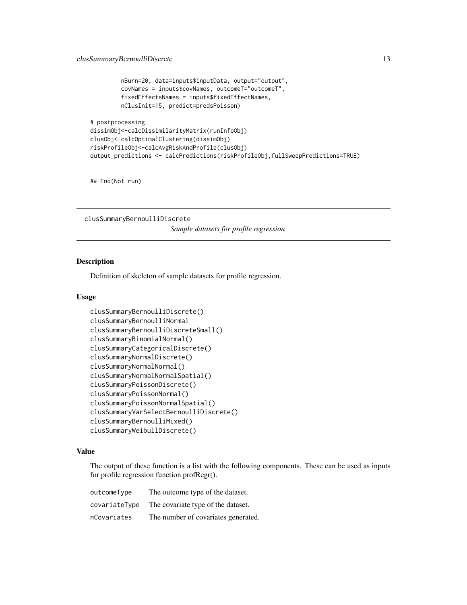```
nBurn=20, data=inputs$inputData, output="output",
covNames = inputs$covNames, outcomeT="outcomeT",
fixedEffectsNames = inputs$fixedEffectNames,
nClusInit=15, predict=predsPoisson)
```

```
# postprocessing
dissimObj<-calcDissimilarityMatrix(runInfoObj)
clusObj<-calcOptimalClustering(dissimObj)
riskProfileObj<-calcAvgRiskAndProfile(clusObj)
output_predictions <- calcPredictions(riskProfileObj,fullSweepPredictions=TRUE)
```
## End(Not run)

clusSummaryBernoulliDiscrete *Sample datasets for profile regression*

#### Description

Definition of skeleton of sample datasets for profile regression.

#### Usage

```
clusSummaryBernoulliDiscrete()
clusSummaryBernoulliNormal
clusSummaryBernoulliDiscreteSmall()
clusSummaryBinomialNormal()
clusSummaryCategoricalDiscrete()
clusSummaryNormalDiscrete()
clusSummaryNormalNormal()
clusSummaryNormalNormalSpatial()
clusSummaryPoissonDiscrete()
clusSummaryPoissonNormal()
clusSummaryPoissonNormalSpatial()
clusSummaryVarSelectBernoulliDiscrete()
clusSummaryBernoulliMixed()
clusSummaryWeibullDiscrete()
```
#### Value

The output of these function is a list with the following components. These can be used as inputs for profile regression function profRegr().

| outcomeType   | The outcome type of the dataset.    |
|---------------|-------------------------------------|
| covariateType | The covariate type of the dataset.  |
| nCovariates   | The number of covariates generated. |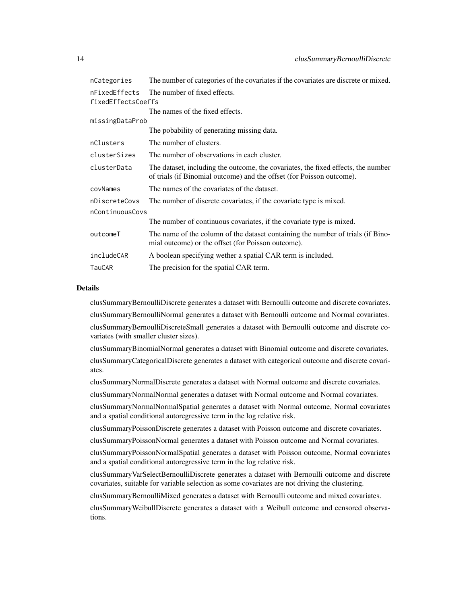| nCategories        | The number of categories of the covariates if the covariates are discrete or mixed.                                                                        |
|--------------------|------------------------------------------------------------------------------------------------------------------------------------------------------------|
| nFixedEffects      | The number of fixed effects.                                                                                                                               |
| fixedEffectsCoeffs |                                                                                                                                                            |
|                    | The names of the fixed effects.                                                                                                                            |
| missingDataProb    |                                                                                                                                                            |
|                    | The pobability of generating missing data.                                                                                                                 |
| nClusters          | The number of clusters.                                                                                                                                    |
| clusterSizes       | The number of observations in each cluster.                                                                                                                |
| clusterData        | The dataset, including the outcome, the covariates, the fixed effects, the number<br>of trials (if Binomial outcome) and the offset (for Poisson outcome). |
| covNames           | The names of the covariates of the dataset.                                                                                                                |
| nDiscreteCovs      | The number of discrete covariates, if the covariate type is mixed.                                                                                         |
| nContinuousCovs    |                                                                                                                                                            |
|                    | The number of continuous covariates, if the covariate type is mixed.                                                                                       |
| outcomeT           | The name of the column of the dataset containing the number of trials (if Bino-<br>mial outcome) or the offset (for Poisson outcome).                      |
| includeCAR         | A boolean specifying wether a spatial CAR term is included.                                                                                                |
| TauCAR             | The precision for the spatial CAR term.                                                                                                                    |

#### Details

clusSummaryBernoulliDiscrete generates a dataset with Bernoulli outcome and discrete covariates.

clusSummaryBernoulliNormal generates a dataset with Bernoulli outcome and Normal covariates.

clusSummaryBernoulliDiscreteSmall generates a dataset with Bernoulli outcome and discrete covariates (with smaller cluster sizes).

clusSummaryBinomialNormal generates a dataset with Binomial outcome and discrete covariates. clusSummaryCategoricalDiscrete generates a dataset with categorical outcome and discrete covariates.

clusSummaryNormalDiscrete generates a dataset with Normal outcome and discrete covariates.

clusSummaryNormalNormal generates a dataset with Normal outcome and Normal covariates.

clusSummaryNormalNormalSpatial generates a dataset with Normal outcome, Normal covariates and a spatial conditional autoregressive term in the log relative risk.

clusSummaryPoissonDiscrete generates a dataset with Poisson outcome and discrete covariates.

clusSummaryPoissonNormal generates a dataset with Poisson outcome and Normal covariates.

clusSummaryPoissonNormalSpatial generates a dataset with Poisson outcome, Normal covariates and a spatial conditional autoregressive term in the log relative risk.

clusSummaryVarSelectBernoulliDiscrete generates a dataset with Bernoulli outcome and discrete covariates, suitable for variable selection as some covariates are not driving the clustering.

clusSummaryBernoulliMixed generates a dataset with Bernoulli outcome and mixed covariates.

clusSummaryWeibullDiscrete generates a dataset with a Weibull outcome and censored observations.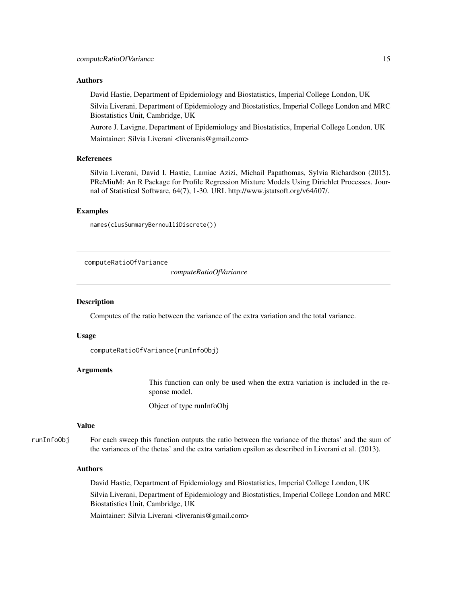#### <span id="page-14-0"></span>Authors

David Hastie, Department of Epidemiology and Biostatistics, Imperial College London, UK

Silvia Liverani, Department of Epidemiology and Biostatistics, Imperial College London and MRC Biostatistics Unit, Cambridge, UK

Aurore J. Lavigne, Department of Epidemiology and Biostatistics, Imperial College London, UK Maintainer: Silvia Liverani <liveranis@gmail.com>

#### References

Silvia Liverani, David I. Hastie, Lamiae Azizi, Michail Papathomas, Sylvia Richardson (2015). PReMiuM: An R Package for Profile Regression Mixture Models Using Dirichlet Processes. Journal of Statistical Software, 64(7), 1-30. URL http://www.jstatsoft.org/v64/i07/.

#### Examples

```
names(clusSummaryBernoulliDiscrete())
```
computeRatioOfVariance

*computeRatioOfVariance*

#### Description

Computes of the ratio between the variance of the extra variation and the total variance.

#### Usage

```
computeRatioOfVariance(runInfoObj)
```
# Arguments

This function can only be used when the extra variation is included in the response model.

Object of type runInfoObj

#### Value

runInfoObj For each sweep this function outputs the ratio between the variance of the thetas' and the sum of the variances of the thetas' and the extra variation epsilon as described in Liverani et al. (2013).

#### Authors

David Hastie, Department of Epidemiology and Biostatistics, Imperial College London, UK Silvia Liverani, Department of Epidemiology and Biostatistics, Imperial College London and MRC Biostatistics Unit, Cambridge, UK Maintainer: Silvia Liverani <liveranis@gmail.com>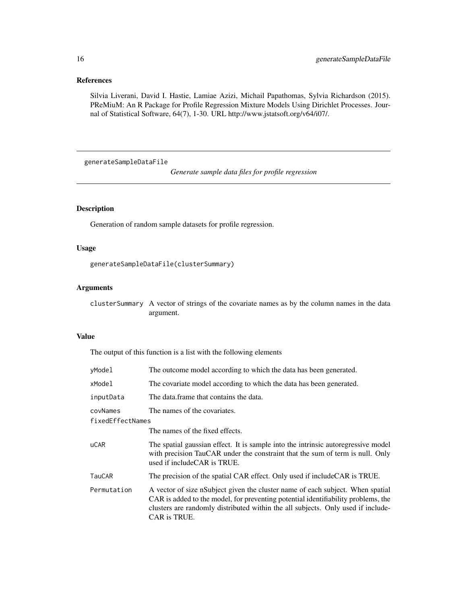# <span id="page-15-0"></span>References

Silvia Liverani, David I. Hastie, Lamiae Azizi, Michail Papathomas, Sylvia Richardson (2015). PReMiuM: An R Package for Profile Regression Mixture Models Using Dirichlet Processes. Journal of Statistical Software, 64(7), 1-30. URL http://www.jstatsoft.org/v64/i07/.

generateSampleDataFile

*Generate sample data files for profile regression*

# Description

Generation of random sample datasets for profile regression.

# Usage

```
generateSampleDataFile(clusterSummary)
```
#### Arguments

clusterSummary A vector of strings of the covariate names as by the column names in the data argument.

# Value

The output of this function is a list with the following elements

| yModel           | The outcome model according to which the data has been generated.                                                                                                                                                                                                       |
|------------------|-------------------------------------------------------------------------------------------------------------------------------------------------------------------------------------------------------------------------------------------------------------------------|
| xModel           | The covariate model according to which the data has been generated.                                                                                                                                                                                                     |
| inputData        | The data frame that contains the data.                                                                                                                                                                                                                                  |
| covNames         | The names of the covariates.                                                                                                                                                                                                                                            |
| fixedEffectNames |                                                                                                                                                                                                                                                                         |
|                  | The names of the fixed effects.                                                                                                                                                                                                                                         |
| <b>uCAR</b>      | The spatial gaussian effect. It is sample into the intrinsic autoregressive model<br>with precision TauCAR under the constraint that the sum of term is null. Only<br>used if include CAR is TRUE.                                                                      |
| <b>TauCAR</b>    | The precision of the spatial CAR effect. Only used if include CAR is TRUE.                                                                                                                                                                                              |
| Permutation      | A vector of size nSubject given the cluster name of each subject. When spatial<br>CAR is added to the model, for preventing potential identifiability problems, the<br>clusters are randomly distributed within the all subjects. Only used if include-<br>CAR is TRUE. |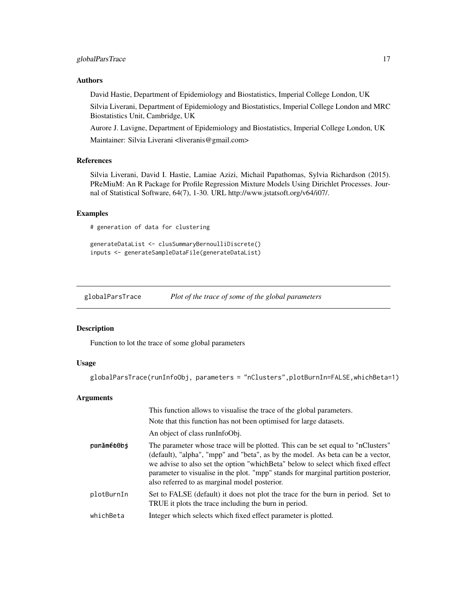# <span id="page-16-0"></span>globalParsTrace 17

### Authors

David Hastie, Department of Epidemiology and Biostatistics, Imperial College London, UK

Silvia Liverani, Department of Epidemiology and Biostatistics, Imperial College London and MRC Biostatistics Unit, Cambridge, UK

Aurore J. Lavigne, Department of Epidemiology and Biostatistics, Imperial College London, UK Maintainer: Silvia Liverani <liveranis@gmail.com>

#### References

Silvia Liverani, David I. Hastie, Lamiae Azizi, Michail Papathomas, Sylvia Richardson (2015). PReMiuM: An R Package for Profile Regression Mixture Models Using Dirichlet Processes. Journal of Statistical Software, 64(7), 1-30. URL http://www.jstatsoft.org/v64/i07/.

# Examples

# generation of data for clustering

```
generateDataList <- clusSummaryBernoulliDiscrete()
inputs <- generateSampleDataFile(generateDataList)
```
globalParsTrace *Plot of the trace of some of the global parameters*

#### Description

Function to lot the trace of some global parameters

# Usage

globalParsTrace(runInfoObj, parameters = "nClusters",plotBurnIn=FALSE,whichBeta=1)

# Arguments

|            | This function allows to visualise the trace of the global parameters.<br>Note that this function has not been optimised for large datasets.<br>An object of class runInfoObj.                                                                                                                                                                                                                 |
|------------|-----------------------------------------------------------------------------------------------------------------------------------------------------------------------------------------------------------------------------------------------------------------------------------------------------------------------------------------------------------------------------------------------|
| panāméo@bs | The parameter whose trace will be plotted. This can be set equal to "nClusters"<br>(default), "alpha", "mpp" and "beta", as by the model. As beta can be a vector,<br>we advise to also set the option "which Beta" below to select which fixed effect<br>parameter to visualise in the plot. "mpp" stands for marginal partition posterior,<br>also referred to as marginal model posterior. |
| plotBurnIn | Set to FALSE (default) it does not plot the trace for the burn in period. Set to<br>TRUE it plots the trace including the burn in period.                                                                                                                                                                                                                                                     |
| whichBeta  | Integer which selects which fixed effect parameter is plotted.                                                                                                                                                                                                                                                                                                                                |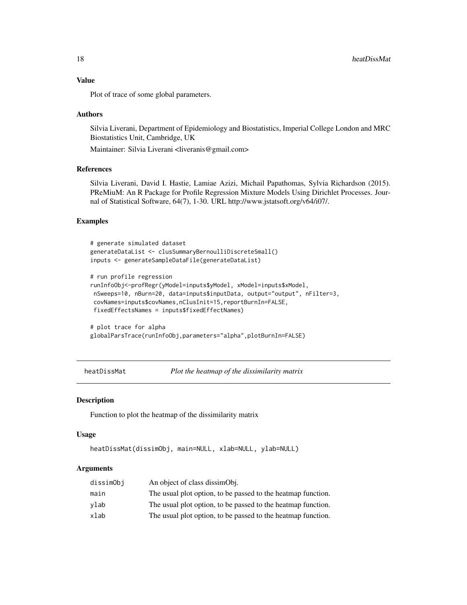# Value

Plot of trace of some global parameters.

#### Authors

Silvia Liverani, Department of Epidemiology and Biostatistics, Imperial College London and MRC Biostatistics Unit, Cambridge, UK

Maintainer: Silvia Liverani <liveranis@gmail.com>

# References

Silvia Liverani, David I. Hastie, Lamiae Azizi, Michail Papathomas, Sylvia Richardson (2015). PReMiuM: An R Package for Profile Regression Mixture Models Using Dirichlet Processes. Journal of Statistical Software, 64(7), 1-30. URL http://www.jstatsoft.org/v64/i07/.

### Examples

```
# generate simulated dataset
generateDataList <- clusSummaryBernoulliDiscreteSmall()
inputs <- generateSampleDataFile(generateDataList)
```

```
# run profile regression
runInfoObj<-profRegr(yModel=inputs$yModel, xModel=inputs$xModel,
nSweeps=10, nBurn=20, data=inputs$inputData, output="output", nFilter=3,
covNames=inputs$covNames,nClusInit=15,reportBurnIn=FALSE,
fixedEffectsNames = inputs$fixedEffectNames)
```

```
# plot trace for alpha
globalParsTrace(runInfoObj,parameters="alpha",plotBurnIn=FALSE)
```

```
heatDissMat Plot the heatmap of the dissimilarity matrix
```
#### **Description**

Function to plot the heatmap of the dissimilarity matrix

#### Usage

```
heatDissMat(dissimObj, main=NULL, xlab=NULL, ylab=NULL)
```
#### Arguments

| dissimObj | An object of class dissimobj.                                |
|-----------|--------------------------------------------------------------|
| main      | The usual plot option, to be passed to the heatmap function. |
| ylab      | The usual plot option, to be passed to the heatmap function. |
| xlab      | The usual plot option, to be passed to the heatmap function. |

<span id="page-17-0"></span>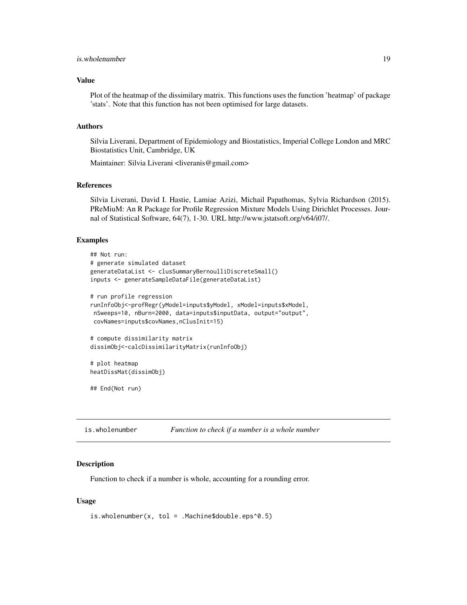# <span id="page-18-0"></span>is.wholenumber 19

### Value

Plot of the heatmap of the dissimilary matrix. This functions uses the function 'heatmap' of package 'stats'. Note that this function has not been optimised for large datasets.

#### Authors

Silvia Liverani, Department of Epidemiology and Biostatistics, Imperial College London and MRC Biostatistics Unit, Cambridge, UK

Maintainer: Silvia Liverani <liveranis@gmail.com>

#### References

Silvia Liverani, David I. Hastie, Lamiae Azizi, Michail Papathomas, Sylvia Richardson (2015). PReMiuM: An R Package for Profile Regression Mixture Models Using Dirichlet Processes. Journal of Statistical Software, 64(7), 1-30. URL http://www.jstatsoft.org/v64/i07/.

#### Examples

```
## Not run:
# generate simulated dataset
generateDataList <- clusSummaryBernoulliDiscreteSmall()
inputs <- generateSampleDataFile(generateDataList)
# run profile regression
runInfoObj<-profRegr(yModel=inputs$yModel, xModel=inputs$xModel,
nSweeps=10, nBurn=2000, data=inputs$inputData, output="output",
covNames=inputs$covNames,nClusInit=15)
# compute dissimilarity matrix
dissimObj<-calcDissimilarityMatrix(runInfoObj)
# plot heatmap
heatDissMat(dissimObj)
## End(Not run)
```
is.wholenumber *Function to check if a number is a whole number*

#### Description

Function to check if a number is whole, accounting for a rounding error.

# Usage

```
is.wholenumber(x, tol = .Machine$double.eps^0.5)
```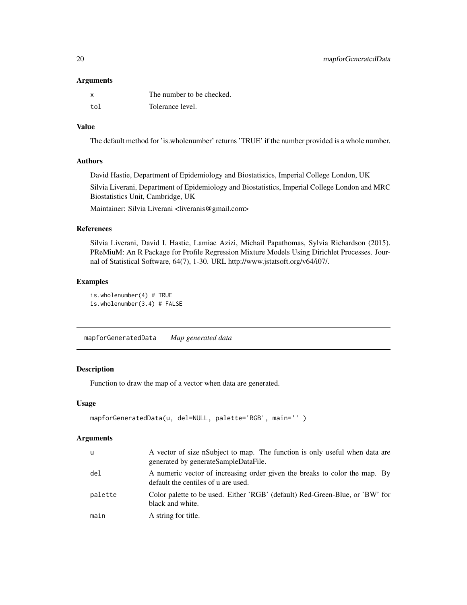#### <span id="page-19-0"></span>Arguments

|     | The number to be checked. |
|-----|---------------------------|
| tol | Tolerance level.          |

# Value

The default method for 'is.wholenumber' returns 'TRUE' if the number provided is a whole number.

# Authors

David Hastie, Department of Epidemiology and Biostatistics, Imperial College London, UK

Silvia Liverani, Department of Epidemiology and Biostatistics, Imperial College London and MRC Biostatistics Unit, Cambridge, UK

Maintainer: Silvia Liverani <liveranis@gmail.com>

# References

Silvia Liverani, David I. Hastie, Lamiae Azizi, Michail Papathomas, Sylvia Richardson (2015). PReMiuM: An R Package for Profile Regression Mixture Models Using Dirichlet Processes. Journal of Statistical Software, 64(7), 1-30. URL http://www.jstatsoft.org/v64/i07/.

# Examples

```
is.wholenumber(4) # TRUE
is.wholenumber(3.4) # FALSE
```
mapforGeneratedData *Map generated data*

# Description

Function to draw the map of a vector when data are generated.

#### Usage

```
mapforGeneratedData(u, del=NULL, palette='RGB', main='' )
```
# Arguments

| <b>u</b> | A vector of size nSubject to map. The function is only useful when data are<br>generated by generateSampleDataFile. |
|----------|---------------------------------------------------------------------------------------------------------------------|
| del      | A numeric vector of increasing order given the breaks to color the map. By<br>default the centiles of u are used.   |
| palette  | Color palette to be used. Either 'RGB' (default) Red-Green-Blue, or 'BW' for<br>black and white.                    |
| main     | A string for title.                                                                                                 |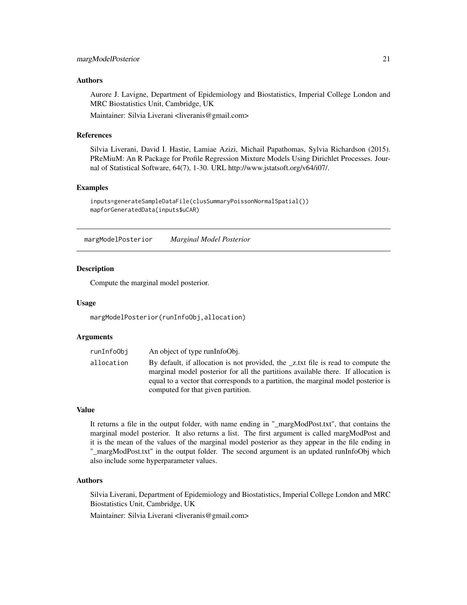#### <span id="page-20-0"></span>Authors

Aurore J. Lavigne, Department of Epidemiology and Biostatistics, Imperial College London and MRC Biostatistics Unit, Cambridge, UK

Maintainer: Silvia Liverani <liveranis@gmail.com>

#### References

Silvia Liverani, David I. Hastie, Lamiae Azizi, Michail Papathomas, Sylvia Richardson (2015). PReMiuM: An R Package for Profile Regression Mixture Models Using Dirichlet Processes. Journal of Statistical Software, 64(7), 1-30. URL http://www.jstatsoft.org/v64/i07/.

### Examples

```
inputs=generateSampleDataFile(clusSummaryPoissonNormalSpatial())
mapforGeneratedData(inputs$uCAR)
```
margModelPosterior *Marginal Model Posterior*

### Description

Compute the marginal model posterior.

#### Usage

margModelPosterior(runInfoObj,allocation)

#### Arguments

| runInfo0bj | An object of type runInfoObj.                                                                                                                                                                                                                                                                      |
|------------|----------------------------------------------------------------------------------------------------------------------------------------------------------------------------------------------------------------------------------------------------------------------------------------------------|
| allocation | By default, if allocation is not provided, the _z.txt file is read to compute the<br>marginal model posterior for all the partitions available there. If allocation is<br>equal to a vector that corresponds to a partition, the marginal model posterior is<br>computed for that given partition. |

# Value

It returns a file in the output folder, with name ending in "\_margModPost.txt", that contains the marginal model posterior. It also returns a list. The first argument is called margModPost and it is the mean of the values of the marginal model posterior as they appear in the file ending in "\_margModPost.txt" in the output folder. The second argument is an updated runInfoObj which also include some hyperparameter values.

#### Authors

Silvia Liverani, Department of Epidemiology and Biostatistics, Imperial College London and MRC Biostatistics Unit, Cambridge, UK

Maintainer: Silvia Liverani <liveranis@gmail.com>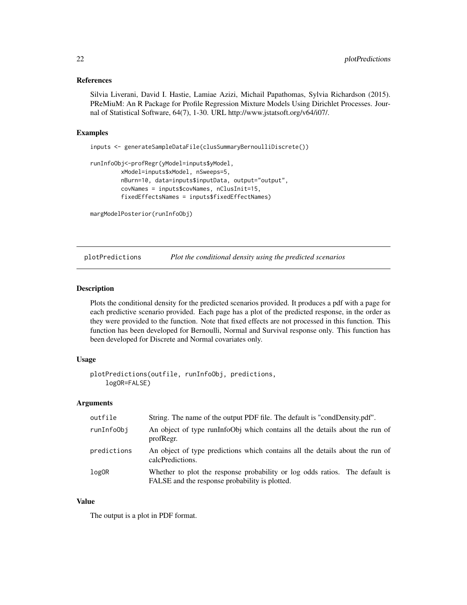#### <span id="page-21-0"></span>References

Silvia Liverani, David I. Hastie, Lamiae Azizi, Michail Papathomas, Sylvia Richardson (2015). PReMiuM: An R Package for Profile Regression Mixture Models Using Dirichlet Processes. Journal of Statistical Software, 64(7), 1-30. URL http://www.jstatsoft.org/v64/i07/.

#### Examples

```
inputs <- generateSampleDataFile(clusSummaryBernoulliDiscrete())
```

```
runInfoObj<-profRegr(yModel=inputs$yModel,
        xModel=inputs$xModel, nSweeps=5,
        nBurn=10, data=inputs$inputData, output="output",
        covNames = inputs$covNames, nClusInit=15,
         fixedEffectsNames = inputs$fixedEffectNames)
```

```
margModelPosterior(runInfoObj)
```
plotPredictions *Plot the conditional density using the predicted scenarios*

#### Description

Plots the conditional density for the predicted scenarios provided. It produces a pdf with a page for each predictive scenario provided. Each page has a plot of the predicted response, in the order as they were provided to the function. Note that fixed effects are not processed in this function. This function has been developed for Bernoulli, Normal and Survival response only. This function has been developed for Discrete and Normal covariates only.

#### Usage

```
plotPredictions(outfile, runInfoObj, predictions,
    logOR=FALSE)
```
#### Arguments

| outfile     | String. The name of the output PDF file. The default is "condDensity.pdf".                                                    |
|-------------|-------------------------------------------------------------------------------------------------------------------------------|
| runInfoObj  | An object of type runInfoObj which contains all the details about the run of<br>profRegr.                                     |
| predictions | An object of type predictions which contains all the details about the run of<br>calcPredictions.                             |
| logOR       | Whether to plot the response probability or log odds ratios. The default is<br>FALSE and the response probability is plotted. |

### Value

The output is a plot in PDF format.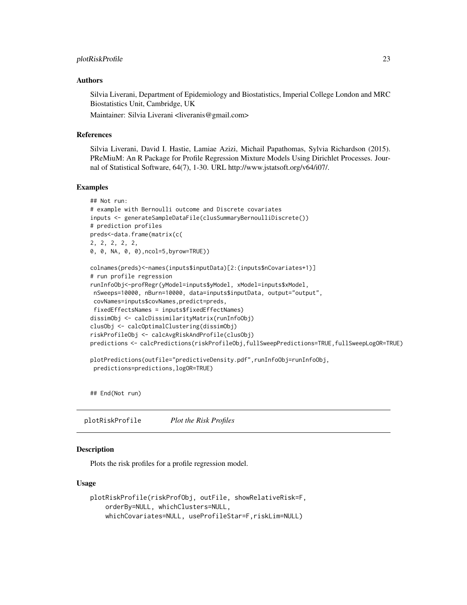#### <span id="page-22-0"></span>Authors

Silvia Liverani, Department of Epidemiology and Biostatistics, Imperial College London and MRC Biostatistics Unit, Cambridge, UK

Maintainer: Silvia Liverani <liveranis@gmail.com>

#### References

Silvia Liverani, David I. Hastie, Lamiae Azizi, Michail Papathomas, Sylvia Richardson (2015). PReMiuM: An R Package for Profile Regression Mixture Models Using Dirichlet Processes. Journal of Statistical Software, 64(7), 1-30. URL http://www.jstatsoft.org/v64/i07/.

#### Examples

```
## Not run:
# example with Bernoulli outcome and Discrete covariates
inputs <- generateSampleDataFile(clusSummaryBernoulliDiscrete())
# prediction profiles
preds<-data.frame(matrix(c(
2, 2, 2, 2, 2,
0, 0, NA, 0, 0),ncol=5,byrow=TRUE))
colnames(preds)<-names(inputs$inputData)[2:(inputs$nCovariates+1)]
# run profile regression
runInfoObj<-profRegr(yModel=inputs$yModel, xModel=inputs$xModel,
nSweeps=10000, nBurn=10000, data=inputs$inputData, output="output",
covNames=inputs$covNames,predict=preds,
fixedEffectsNames = inputs$fixedEffectNames)
dissimObj <- calcDissimilarityMatrix(runInfoObj)
clusObj <- calcOptimalClustering(dissimObj)
riskProfileObj <- calcAvgRiskAndProfile(clusObj)
predictions <- calcPredictions(riskProfileObj,fullSweepPredictions=TRUE,fullSweepLogOR=TRUE)
plotPredictions(outfile="predictiveDensity.pdf",runInfoObj=runInfoObj,
predictions=predictions,logOR=TRUE)
```
## End(Not run)

plotRiskProfile *Plot the Risk Profiles*

# Description

Plots the risk profiles for a profile regression model.

# Usage

```
plotRiskProfile(riskProfObj, outFile, showRelativeRisk=F,
   orderBy=NULL, whichClusters=NULL,
   whichCovariates=NULL, useProfileStar=F,riskLim=NULL)
```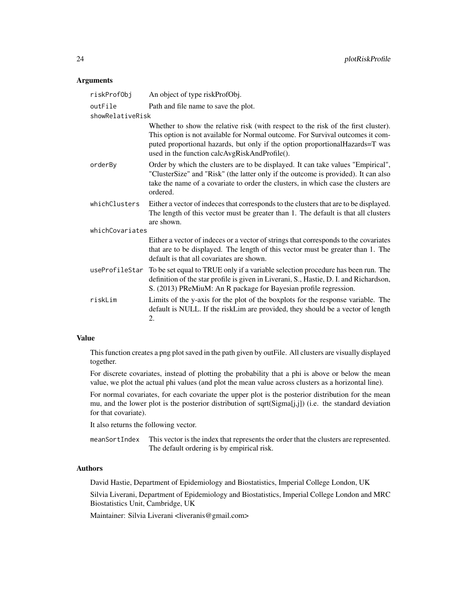#### Arguments

| riskProfObj      | An object of type riskProfObj.                                                                                                                                                                                                                                                                         |
|------------------|--------------------------------------------------------------------------------------------------------------------------------------------------------------------------------------------------------------------------------------------------------------------------------------------------------|
| outFile          | Path and file name to save the plot.                                                                                                                                                                                                                                                                   |
| showRelativeRisk |                                                                                                                                                                                                                                                                                                        |
|                  | Whether to show the relative risk (with respect to the risk of the first cluster).<br>This option is not available for Normal outcome. For Survival outcomes it com-<br>puted proportional hazards, but only if the option proportional Hazards=T was<br>used in the function calcAvgRiskAndProfile(). |
| orderBy          | Order by which the clusters are to be displayed. It can take values "Empirical",<br>"ClusterSize" and "Risk" (the latter only if the outcome is provided). It can also<br>take the name of a covariate to order the clusters, in which case the clusters are<br>ordered.                               |
| whichClusters    | Either a vector of indeces that corresponds to the clusters that are to be displayed.<br>The length of this vector must be greater than 1. The default is that all clusters<br>are shown.                                                                                                              |
| whichCovariates  |                                                                                                                                                                                                                                                                                                        |
|                  | Either a vector of indeces or a vector of strings that corresponds to the covariates<br>that are to be displayed. The length of this vector must be greater than 1. The<br>default is that all covariates are shown.                                                                                   |
|                  | useProfileStar To be set equal to TRUE only if a variable selection procedure has been run. The<br>definition of the star profile is given in Liverani, S., Hastie, D. I. and Richardson,<br>S. (2013) PReMiuM: An R package for Bayesian profile regression.                                          |
| riskLim          | Limits of the y-axis for the plot of the boxplots for the response variable. The<br>default is NULL. If the riskLim are provided, they should be a vector of length<br>2.                                                                                                                              |

#### Value

This function creates a png plot saved in the path given by outFile. All clusters are visually displayed together.

For discrete covariates, instead of plotting the probability that a phi is above or below the mean value, we plot the actual phi values (and plot the mean value across clusters as a horizontal line).

For normal covariates, for each covariate the upper plot is the posterior distribution for the mean mu, and the lower plot is the posterior distribution of sqrt(Sigma[j,j]) (i.e. the standard deviation for that covariate).

It also returns the following vector.

meanSortIndex This vector is the index that represents the order that the clusters are represented. The default ordering is by empirical risk.

# Authors

David Hastie, Department of Epidemiology and Biostatistics, Imperial College London, UK

Silvia Liverani, Department of Epidemiology and Biostatistics, Imperial College London and MRC Biostatistics Unit, Cambridge, UK

Maintainer: Silvia Liverani <liveranis@gmail.com>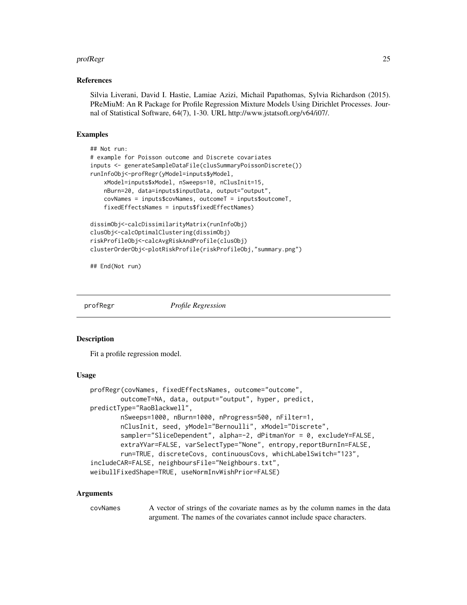#### <span id="page-24-0"></span>profRegr 25

#### References

Silvia Liverani, David I. Hastie, Lamiae Azizi, Michail Papathomas, Sylvia Richardson (2015). PReMiuM: An R Package for Profile Regression Mixture Models Using Dirichlet Processes. Journal of Statistical Software, 64(7), 1-30. URL http://www.jstatsoft.org/v64/i07/.

### Examples

```
## Not run:
# example for Poisson outcome and Discrete covariates
inputs <- generateSampleDataFile(clusSummaryPoissonDiscrete())
runInfoObj<-profRegr(yModel=inputs$yModel,
    xModel=inputs$xModel, nSweeps=10, nClusInit=15,
   nBurn=20, data=inputs$inputData, output="output",
    covNames = inputs$covNames, outcomeT = inputs$outcomeT,
    fixedEffectsNames = inputs$fixedEffectNames)
dissimObj<-calcDissimilarityMatrix(runInfoObj)
clusObj<-calcOptimalClustering(dissimObj)
riskProfileObj<-calcAvgRiskAndProfile(clusObj)
clusterOrderObj<-plotRiskProfile(riskProfileObj,"summary.png")
```
## End(Not run)

profRegr *Profile Regression*

#### Description

Fit a profile regression model.

#### Usage

```
profRegr(covNames, fixedEffectsNames, outcome="outcome",
        outcomeT=NA, data, output="output", hyper, predict,
predictType="RaoBlackwell",
       nSweeps=1000, nBurn=1000, nProgress=500, nFilter=1,
       nClusInit, seed, yModel="Bernoulli", xModel="Discrete",
        sampler="SliceDependent", alpha=-2, dPitmanYor = 0, excludeY=FALSE,
        extraYVar=FALSE, varSelectType="None", entropy,reportBurnIn=FALSE,
        run=TRUE, discreteCovs, continuousCovs, whichLabelSwitch="123",
includeCAR=FALSE, neighboursFile="Neighbours.txt",
weibullFixedShape=TRUE, useNormInvWishPrior=FALSE)
```
#### Arguments

covNames A vector of strings of the covariate names as by the column names in the data argument. The names of the covariates cannot include space characters.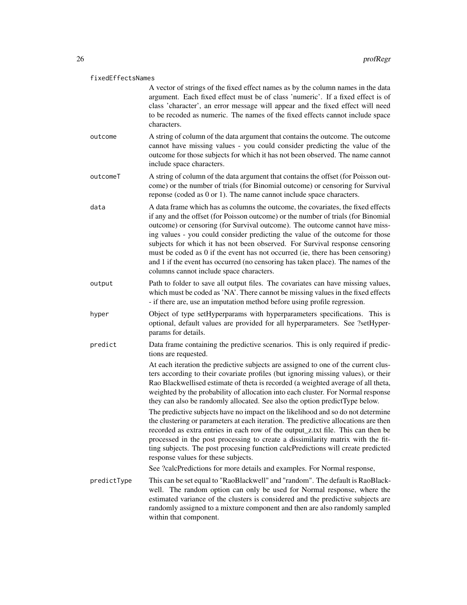#### fixedEffectsNames

A vector of strings of the fixed effect names as by the column names in the data argument. Each fixed effect must be of class 'numeric'. If a fixed effect is of class 'character', an error message will appear and the fixed effect will need to be recoded as numeric. The names of the fixed effects cannot include space characters.

- outcome A string of column of the data argument that contains the outcome. The outcome cannot have missing values - you could consider predicting the value of the outcome for those subjects for which it has not been observed. The name cannot include space characters.
- outcomeT A string of column of the data argument that contains the offset (for Poisson outcome) or the number of trials (for Binomial outcome) or censoring for Survival reponse (coded as 0 or 1). The name cannot include space characters.
- data A data frame which has as columns the outcome, the covariates, the fixed effects if any and the offset (for Poisson outcome) or the number of trials (for Binomial outcome) or censoring (for Survival outcome). The outcome cannot have missing values - you could consider predicting the value of the outcome for those subjects for which it has not been observed. For Survival response censoring must be coded as 0 if the event has not occurred (ie, there has been censoring) and 1 if the event has occurred (no censoring has taken place). The names of the columns cannot include space characters.
- output Path to folder to save all output files. The covariates can have missing values, which must be coded as 'NA'. There cannot be missing values in the fixed effects - if there are, use an imputation method before using profile regression.
- hyper Object of type setHyperparams with hyperparameters specifications. This is optional, default values are provided for all hyperparameters. See ?setHyperparams for details.
- predict Data frame containing the predictive scenarios. This is only required if predictions are requested.

At each iteration the predictive subjects are assigned to one of the current clusters according to their covariate profiles (but ignoring missing values), or their Rao Blackwellised estimate of theta is recorded (a weighted average of all theta, weighted by the probability of allocation into each cluster. For Normal response they can also be randomly allocated. See also the option predictType below.

The predictive subjects have no impact on the likelihood and so do not determine the clustering or parameters at each iteration. The predictive allocations are then recorded as extra entries in each row of the output\_z.txt file. This can then be processed in the post processing to create a dissimilarity matrix with the fitting subjects. The post procesing function calcPredictions will create predicted response values for these subjects.

See ?calcPredictions for more details and examples. For Normal response,

predictType This can be set equal to "RaoBlackwell" and "random". The default is RaoBlackwell. The random option can only be used for Normal response, where the estimated variance of the clusters is considered and the predictive subjects are randomly assigned to a mixture component and then are also randomly sampled within that component.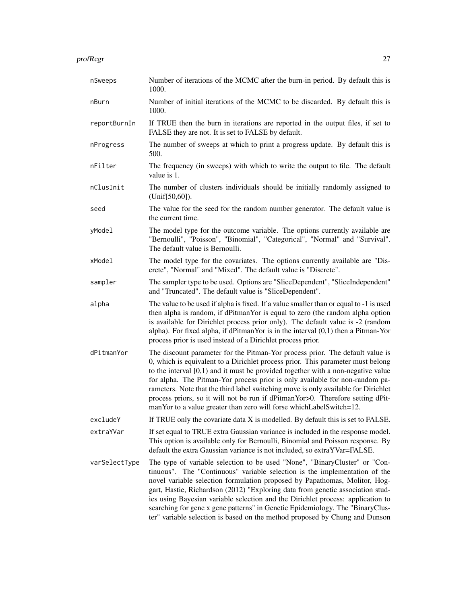| nSweeps       | Number of iterations of the MCMC after the burn-in period. By default this is<br>1000.                                                                                                                                                                                                                                                                                                                                                                                                                                                                                                |
|---------------|---------------------------------------------------------------------------------------------------------------------------------------------------------------------------------------------------------------------------------------------------------------------------------------------------------------------------------------------------------------------------------------------------------------------------------------------------------------------------------------------------------------------------------------------------------------------------------------|
| nBurn         | Number of initial iterations of the MCMC to be discarded. By default this is<br>1000.                                                                                                                                                                                                                                                                                                                                                                                                                                                                                                 |
| reportBurnIn  | If TRUE then the burn in iterations are reported in the output files, if set to<br>FALSE they are not. It is set to FALSE by default.                                                                                                                                                                                                                                                                                                                                                                                                                                                 |
| nProgress     | The number of sweeps at which to print a progress update. By default this is<br>500.                                                                                                                                                                                                                                                                                                                                                                                                                                                                                                  |
| nFilter       | The frequency (in sweeps) with which to write the output to file. The default<br>value is 1.                                                                                                                                                                                                                                                                                                                                                                                                                                                                                          |
| nClusInit     | The number of clusters individuals should be initially randomly assigned to<br>(Unif[50,60]).                                                                                                                                                                                                                                                                                                                                                                                                                                                                                         |
| seed          | The value for the seed for the random number generator. The default value is<br>the current time.                                                                                                                                                                                                                                                                                                                                                                                                                                                                                     |
| yModel        | The model type for the outcome variable. The options currently available are<br>"Bernoulli", "Poisson", "Binomial", "Categorical", "Normal" and "Survival".<br>The default value is Bernoulli.                                                                                                                                                                                                                                                                                                                                                                                        |
| xModel        | The model type for the covariates. The options currently available are "Dis-<br>crete", "Normal" and "Mixed". The default value is "Discrete".                                                                                                                                                                                                                                                                                                                                                                                                                                        |
| sampler       | The sampler type to be used. Options are "SliceDependent", "SliceIndependent"<br>and "Truncated". The default value is "SliceDependent".                                                                                                                                                                                                                                                                                                                                                                                                                                              |
| alpha         | The value to be used if alpha is fixed. If a value smaller than or equal to -1 is used<br>then alpha is random, if dPitmanYor is equal to zero (the random alpha option<br>is available for Dirichlet process prior only). The default value is -2 (random<br>alpha). For fixed alpha, if dPitmanYor is in the interval $(0,1)$ then a Pitman-Yor<br>process prior is used instead of a Dirichlet process prior.                                                                                                                                                                      |
| dPitmanYor    | The discount parameter for the Pitman-Yor process prior. The default value is<br>0, which is equivalent to a Dirichlet process prior. This parameter must belong<br>to the interval $[0,1)$ and it must be provided together with a non-negative value<br>for alpha. The Pitman-Yor process prior is only available for non-random pa-<br>rameters. Note that the third label switching move is only available for Dirichlet<br>process priors, so it will not be run if dPitmanYor>0. Therefore setting dPit-<br>manYor to a value greater than zero will forse whichLabelSwitch=12. |
| excludeY      | If TRUE only the covariate data X is modelled. By default this is set to FALSE.                                                                                                                                                                                                                                                                                                                                                                                                                                                                                                       |
| extraYVar     | If set equal to TRUE extra Gaussian variance is included in the response model.<br>This option is available only for Bernoulli, Binomial and Poisson response. By<br>default the extra Gaussian variance is not included, so extraYVar=FALSE.                                                                                                                                                                                                                                                                                                                                         |
| varSelectType | The type of variable selection to be used "None", "BinaryCluster" or "Con-<br>tinuous". The "Continuous" variable selection is the implementation of the<br>novel variable selection formulation proposed by Papathomas, Molitor, Hog-<br>gart, Hastie, Richardson (2012) "Exploring data from genetic association stud-<br>ies using Bayesian variable selection and the Dirichlet process: application to<br>searching for gene x gene patterns" in Genetic Epidemiology. The "BinaryClus-<br>ter" variable selection is based on the method proposed by Chung and Dunson           |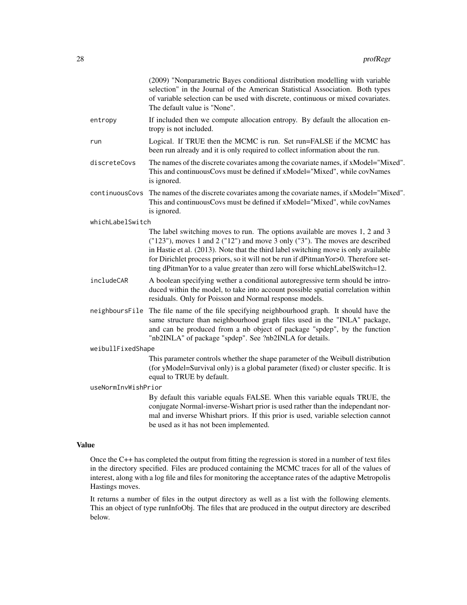| of variable selection can be used with discrete, continuous or mixed covariates.<br>The default value is "None".                                                                                                                                                                                                                                                                                                            | selection" in the Journal of the American Statistical Association. Both types |
|-----------------------------------------------------------------------------------------------------------------------------------------------------------------------------------------------------------------------------------------------------------------------------------------------------------------------------------------------------------------------------------------------------------------------------|-------------------------------------------------------------------------------|
| If included then we compute allocation entropy. By default the allocation en-<br>entropy<br>tropy is not included.                                                                                                                                                                                                                                                                                                          |                                                                               |
| Logical. If TRUE then the MCMC is run. Set run=FALSE if the MCMC has<br>run<br>been run already and it is only required to collect information about the run.                                                                                                                                                                                                                                                               |                                                                               |
| The names of the discrete covariates among the covariate names, if xModel="Mixed".<br>discreteCovs<br>This and continuousCovs must be defined if xModel="Mixed", while covNames<br>is ignored.                                                                                                                                                                                                                              |                                                                               |
| continuousCovs<br>The names of the discrete covariates among the covariate names, if xModel="Mixed".<br>This and continuousCovs must be defined if xModel="Mixed", while covNames<br>is ignored.                                                                                                                                                                                                                            |                                                                               |
| whichLabelSwitch                                                                                                                                                                                                                                                                                                                                                                                                            |                                                                               |
| The label switching moves to run. The options available are moves 1, 2 and 3<br>("123"), moves 1 and 2 ("12") and move 3 only ("3"). The moves are described<br>in Hastie et al. (2013). Note that the third label switching move is only available<br>for Dirichlet process priors, so it will not be run if dPitman Yor>0. Therefore set-<br>ting dPitmanYor to a value greater than zero will forse whichLabelSwitch=12. |                                                                               |
| includeCAR<br>A boolean specifying wether a conditional autoregressive term should be intro-<br>duced within the model, to take into account possible spatial correlation within<br>residuals. Only for Poisson and Normal response models.                                                                                                                                                                                 |                                                                               |
| neighboursFile The file name of the file specifying neighbourhood graph. It should have the<br>same structure than neighbourhood graph files used in the "INLA" package,<br>and can be produced from a nb object of package "spdep", by the function<br>"nb2INLA" of package "spdep". See ?nb2INLA for details.                                                                                                             |                                                                               |
| weibullFixedShape                                                                                                                                                                                                                                                                                                                                                                                                           |                                                                               |
| This parameter controls whether the shape parameter of the Weibull distribution<br>(for yModel=Survival only) is a global parameter (fixed) or cluster specific. It is<br>equal to TRUE by default.                                                                                                                                                                                                                         |                                                                               |
| useNormInvWishPrior                                                                                                                                                                                                                                                                                                                                                                                                         |                                                                               |
| By default this variable equals FALSE. When this variable equals TRUE, the<br>conjugate Normal-inverse-Wishart prior is used rather than the independant nor-<br>mal and inverse Whishart priors. If this prior is used, variable selection cannot<br>be used as it has not been implemented.                                                                                                                               |                                                                               |
| <b>Value</b>                                                                                                                                                                                                                                                                                                                                                                                                                |                                                                               |
|                                                                                                                                                                                                                                                                                                                                                                                                                             |                                                                               |

Once the C++ has completed the output from fitting the regression is stored in a number of text files in the directory specified. Files are produced containing the MCMC traces for all of the values of interest, along with a log file and files for monitoring the acceptance rates of the adaptive Metropolis Hastings moves.

It returns a number of files in the output directory as well as a list with the following elements. This an object of type runInfoObj. The files that are produced in the output directory are described below.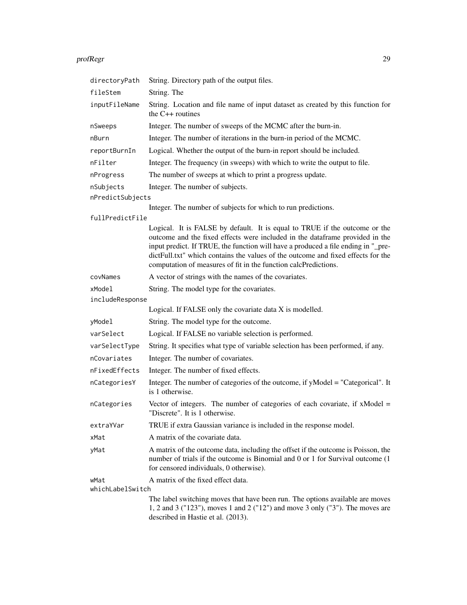#### profRegr 29

| directoryPath    | String. Directory path of the output files.                                                                                                                                                                                                                                                                                                                                                            |
|------------------|--------------------------------------------------------------------------------------------------------------------------------------------------------------------------------------------------------------------------------------------------------------------------------------------------------------------------------------------------------------------------------------------------------|
| fileStem         | String. The                                                                                                                                                                                                                                                                                                                                                                                            |
| inputFileName    | String. Location and file name of input dataset as created by this function for<br>the $C++$ routines                                                                                                                                                                                                                                                                                                  |
| nSweeps          | Integer. The number of sweeps of the MCMC after the burn-in.                                                                                                                                                                                                                                                                                                                                           |
| nBurn            | Integer. The number of iterations in the burn-in period of the MCMC.                                                                                                                                                                                                                                                                                                                                   |
| reportBurnIn     | Logical. Whether the output of the burn-in report should be included.                                                                                                                                                                                                                                                                                                                                  |
| nFilter          | Integer. The frequency (in sweeps) with which to write the output to file.                                                                                                                                                                                                                                                                                                                             |
| nProgress        | The number of sweeps at which to print a progress update.                                                                                                                                                                                                                                                                                                                                              |
| nSubjects        | Integer. The number of subjects.                                                                                                                                                                                                                                                                                                                                                                       |
| nPredictSubjects |                                                                                                                                                                                                                                                                                                                                                                                                        |
|                  | Integer. The number of subjects for which to run predictions.                                                                                                                                                                                                                                                                                                                                          |
| fullPredictFile  | Logical. It is FALSE by default. It is equal to TRUE if the outcome or the<br>outcome and the fixed effects were included in the dataframe provided in the<br>input predict. If TRUE, the function will have a produced a file ending in "_pre-<br>dictFull.txt" which contains the values of the outcome and fixed effects for the<br>computation of measures of fit in the function calcPredictions. |
| covNames         | A vector of strings with the names of the covariates.                                                                                                                                                                                                                                                                                                                                                  |
| xModel           | String. The model type for the covariates.                                                                                                                                                                                                                                                                                                                                                             |
| includeResponse  |                                                                                                                                                                                                                                                                                                                                                                                                        |
|                  | Logical. If FALSE only the covariate data X is modelled.                                                                                                                                                                                                                                                                                                                                               |
| yModel           | String. The model type for the outcome.                                                                                                                                                                                                                                                                                                                                                                |
| varSelect        | Logical. If FALSE no variable selection is performed.                                                                                                                                                                                                                                                                                                                                                  |
| varSelectType    | String. It specifies what type of variable selection has been performed, if any.                                                                                                                                                                                                                                                                                                                       |
| nCovariates      | Integer. The number of covariates.                                                                                                                                                                                                                                                                                                                                                                     |
| nFixedEffects    | Integer. The number of fixed effects.                                                                                                                                                                                                                                                                                                                                                                  |
| nCategoriesY     | Integer. The number of categories of the outcome, if yModel = "Categorical". It<br>is 1 otherwise.                                                                                                                                                                                                                                                                                                     |
| nCategories      | Vector of integers. The number of categories of each covariate, if $x$ Model =<br>"Discrete". It is 1 otherwise.                                                                                                                                                                                                                                                                                       |
| extraYVar        | TRUE if extra Gaussian variance is included in the response model.                                                                                                                                                                                                                                                                                                                                     |
| xMat             | A matrix of the covariate data.                                                                                                                                                                                                                                                                                                                                                                        |
| yMat             | A matrix of the outcome data, including the offset if the outcome is Poisson, the<br>number of trials if the outcome is Binomial and 0 or 1 for Survival outcome (1<br>for censored individuals, 0 otherwise).                                                                                                                                                                                         |
| wMat             | A matrix of the fixed effect data.                                                                                                                                                                                                                                                                                                                                                                     |
| whichLabelSwitch | The label switching moves that have been run. The options available are moves<br>1, 2 and 3 ("123"), moves 1 and 2 ("12") and move 3 only ("3"). The moves are<br>described in Hastie et al. (2013).                                                                                                                                                                                                   |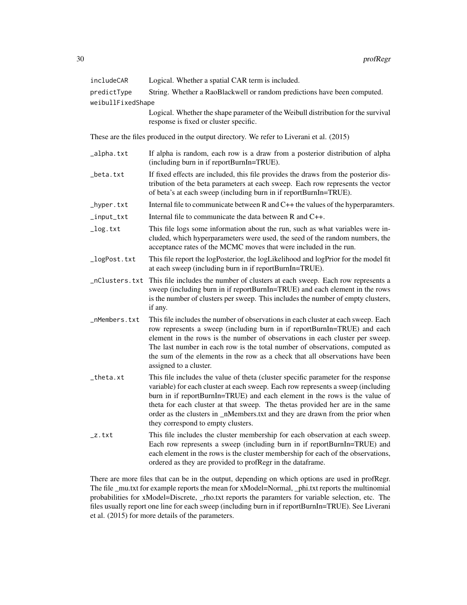| includeCAR        | Logical. Whether a spatial CAR term is included.                         |
|-------------------|--------------------------------------------------------------------------|
| predictType       | String. Whether a RaoBlackwell or random predictions have been computed. |
| weibullFixedShape |                                                                          |
|                   | <b>T : 1 TTH :1 :1 1</b>                                                 |

Logical. Whether the shape parameter of the Weibull distribution for the survival response is fixed or cluster specific.

These are the files produced in the output directory. We refer to Liverani et al. (2015)

- \_alpha.txt If alpha is random, each row is a draw from a posterior distribution of alpha (including burn in if reportBurnIn=TRUE).
- \_beta.txt If fixed effects are included, this file provides the draws from the posterior distribution of the beta parameters at each sweep. Each row represents the vector of beta's at each sweep (including burn in if reportBurnIn=TRUE).
- \_hyper.txt Internal file to communicate between R and C++ the values of the hyperparamters.
- $\text{Input}$ \_txt Internal file to communicate the data between R and C++.
- \_log.txt This file logs some information about the run, such as what variables were included, which hyperparameters were used, the seed of the random numbers, the acceptance rates of the MCMC moves that were included in the run.
- \_logPost.txt This file report the logPosterior, the logLikelihood and logPrior for the model fit at each sweep (including burn in if reportBurnIn=TRUE).
- \_nClusters.txt This file includes the number of clusters at each sweep. Each row represents a sweep (including burn in if reportBurnIn=TRUE) and each element in the rows is the number of clusters per sweep. This includes the number of empty clusters, if any.
- \_nMembers.txt This file includes the number of observations in each cluster at each sweep. Each row represents a sweep (including burn in if reportBurnIn=TRUE) and each element in the rows is the number of observations in each cluster per sweep. The last number in each row is the total number of observations, computed as the sum of the elements in the row as a check that all observations have been assigned to a cluster.
- \_theta.xt This file includes the value of theta (cluster specific parameter for the response variable) for each cluster at each sweep. Each row represents a sweep (including burn in if reportBurnIn=TRUE) and each element in the rows is the value of theta for each cluster at that sweep. The thetas provided her are in the same order as the clusters in \_nMembers.txt and they are drawn from the prior when they correspond to empty clusters.
- \_z.txt This file includes the cluster membership for each observation at each sweep. Each row represents a sweep (including burn in if reportBurnIn=TRUE) and each element in the rows is the cluster membership for each of the observations, ordered as they are provided to profRegr in the dataframe.

There are more files that can be in the output, depending on which options are used in profRegr. The file \_mu.txt for example reports the mean for xModel=Normal, \_phi.txt reports the multinomial probabilities for xModel=Discrete, \_rho.txt reports the paramters for variable selection, etc. The files usually report one line for each sweep (including burn in if reportBurnIn=TRUE). See Liverani et al. (2015) for more details of the parameters.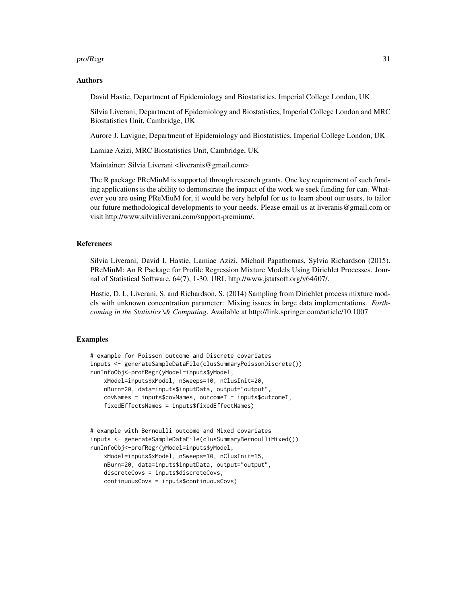#### profRegr 31

#### Authors

David Hastie, Department of Epidemiology and Biostatistics, Imperial College London, UK

Silvia Liverani, Department of Epidemiology and Biostatistics, Imperial College London and MRC Biostatistics Unit, Cambridge, UK

Aurore J. Lavigne, Department of Epidemiology and Biostatistics, Imperial College London, UK

Lamiae Azizi, MRC Biostatistics Unit, Cambridge, UK

Maintainer: Silvia Liverani <liveranis@gmail.com>

The R package PReMiuM is supported through research grants. One key requirement of such funding applications is the ability to demonstrate the impact of the work we seek funding for can. Whatever you are using PReMiuM for, it would be very helpful for us to learn about our users, to tailor our future methodological developments to your needs. Please email us at liveranis@gmail.com or visit http://www.silvialiverani.com/support-premium/.

#### References

Silvia Liverani, David I. Hastie, Lamiae Azizi, Michail Papathomas, Sylvia Richardson (2015). PReMiuM: An R Package for Profile Regression Mixture Models Using Dirichlet Processes. Journal of Statistical Software, 64(7), 1-30. URL http://www.jstatsoft.org/v64/i07/.

Hastie, D. I., Liverani, S. and Richardson, S. (2014) Sampling from Dirichlet process mixture models with unknown concentration parameter: Mixing issues in large data implementations. *Forthcoming in the Statistics \& Computing*. Available at http://link.springer.com/article/10.1007

### Examples

```
# example for Poisson outcome and Discrete covariates
inputs <- generateSampleDataFile(clusSummaryPoissonDiscrete())
runInfoObj<-profRegr(yModel=inputs$yModel,
   xModel=inputs$xModel, nSweeps=10, nClusInit=20,
   nBurn=20, data=inputs$inputData, output="output",
   covNames = inputs$covNames, outcomeT = inputs$outcomeT,
   fixedEffectsNames = inputs$fixedEffectNames)
# example with Bernoulli outcome and Mixed covariates
inputs <- generateSampleDataFile(clusSummaryBernoulliMixed())
runInfoObj<-profRegr(yModel=inputs$yModel,
   xModel=inputs$xModel, nSweeps=10, nClusInit=15,
   nBurn=20, data=inputs$inputData, output="output",
```
continuousCovs = inputs\$continuousCovs)

discreteCovs = inputs\$discreteCovs,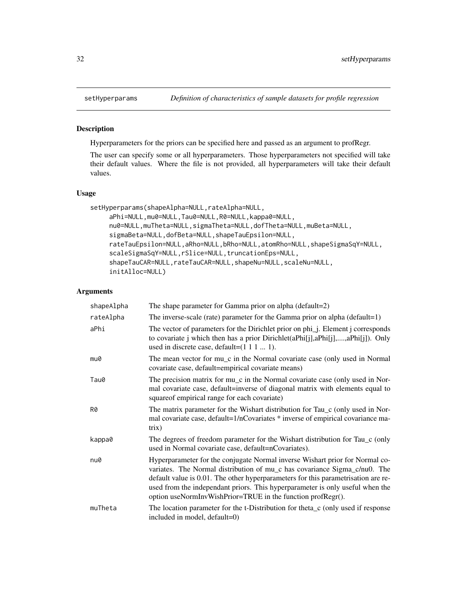<span id="page-31-0"></span>

#### Description

Hyperparameters for the priors can be specified here and passed as an argument to profRegr.

The user can specify some or all hyperparameters. Those hyperparameters not specified will take their default values. Where the file is not provided, all hyperparameters will take their default values.

# Usage

```
setHyperparams(shapeAlpha=NULL,rateAlpha=NULL,
     aPhi=NULL,mu0=NULL,Tau0=NULL,R0=NULL,kappa0=NULL,
     nu0=NULL,muTheta=NULL,sigmaTheta=NULL,dofTheta=NULL,muBeta=NULL,
     sigmaBeta=NULL,dofBeta=NULL,shapeTauEpsilon=NULL,
     rateTauEpsilon=NULL,aRho=NULL,bRho=NULL,atomRho=NULL,shapeSigmaSqY=NULL,
     scaleSigmaSqY=NULL,rSlice=NULL,truncationEps=NULL,
     shapeTauCAR=NULL,rateTauCAR=NULL,shapeNu=NULL,scaleNu=NULL,
     initAlloc=NULL)
```
#### Arguments

| shapeAlpha | The shape parameter for Gamma prior on alpha (default=2)                                                                                                                                                                                                                                                                                                                                       |
|------------|------------------------------------------------------------------------------------------------------------------------------------------------------------------------------------------------------------------------------------------------------------------------------------------------------------------------------------------------------------------------------------------------|
| rateAlpha  | The inverse-scale (rate) parameter for the Gamma prior on alpha (default=1)                                                                                                                                                                                                                                                                                                                    |
| aPhi       | The vector of parameters for the Dirichlet prior on phi_j. Element j corresponds<br>to covariate <i>j</i> which then has a prior Dirichlet (aPhi[j], aPhi[j],, aPhi[j]). Only<br>used in discrete case, default= $(1 1 1  1)$ .                                                                                                                                                                |
| mu0        | The mean vector for mu_c in the Normal covariate case (only used in Normal<br>covariate case, default=empirical covariate means)                                                                                                                                                                                                                                                               |
| Tau0       | The precision matrix for mu_c in the Normal covariate case (only used in Nor-<br>mal covariate case, default=inverse of diagonal matrix with elements equal to<br>squareof empirical range for each covariate)                                                                                                                                                                                 |
| R0         | The matrix parameter for the Wishart distribution for Tau_c (only used in Nor-<br>mal covariate case, default=1/nCovariates * inverse of empirical covariance ma-<br>trix)                                                                                                                                                                                                                     |
| kappa0     | The degrees of freedom parameter for the Wishart distribution for Tau_c (only<br>used in Normal covariate case, default=nCovariates).                                                                                                                                                                                                                                                          |
| nu0        | Hyperparameter for the conjugate Normal inverse Wishart prior for Normal co-<br>variates. The Normal distribution of mu_c has covariance Sigma_c/nu0. The<br>default value is 0.01. The other hyperparameters for this parametrisation are re-<br>used from the independant priors. This hyperparameter is only useful when the<br>option useNormInvWishPrior=TRUE in the function profRegr(). |
| muTheta    | The location parameter for the t-Distribution for theta <sub>c</sub> (only used if response<br>included in model, default=0)                                                                                                                                                                                                                                                                   |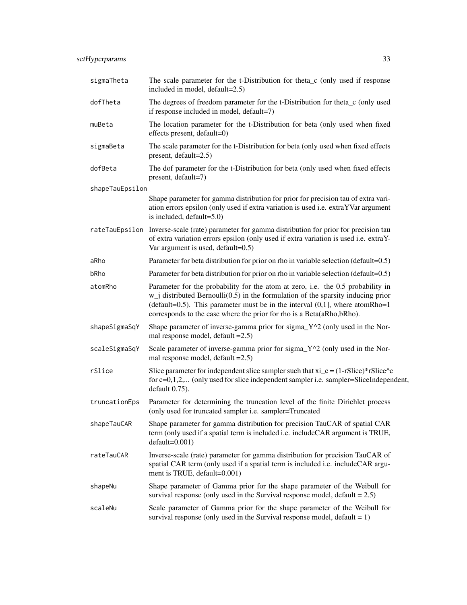| sigmaTheta      | The scale parameter for the t-Distribution for theta_c (only used if response<br>included in model, default=2.5)                                                                                                                                                                                                                  |
|-----------------|-----------------------------------------------------------------------------------------------------------------------------------------------------------------------------------------------------------------------------------------------------------------------------------------------------------------------------------|
| dofTheta        | The degrees of freedom parameter for the t-Distribution for theta_c (only used<br>if response included in model, default=7)                                                                                                                                                                                                       |
| muBeta          | The location parameter for the t-Distribution for beta (only used when fixed<br>effects present, default=0)                                                                                                                                                                                                                       |
| sigmaBeta       | The scale parameter for the t-Distribution for beta (only used when fixed effects<br>present, default=2.5)                                                                                                                                                                                                                        |
| dofBeta         | The dof parameter for the t-Distribution for beta (only used when fixed effects<br>present, default=7)                                                                                                                                                                                                                            |
| shapeTauEpsilon |                                                                                                                                                                                                                                                                                                                                   |
|                 | Shape parameter for gamma distribution for prior for precision tau of extra vari-<br>ation errors epsilon (only used if extra variation is used i.e. extraYVar argument<br>is included, default=5.0)                                                                                                                              |
|                 | rateTauEpsilon Inverse-scale (rate) parameter for gamma distribution for prior for precision tau<br>of extra variation errors epsilon (only used if extra variation is used i.e. extraY-<br>Var argument is used, default= $0.5$ )                                                                                                |
| aRho            | Parameter for beta distribution for prior on rho in variable selection (default=0.5)                                                                                                                                                                                                                                              |
| bRho            | Parameter for beta distribution for prior on rho in variable selection (default=0.5)                                                                                                                                                                                                                                              |
| atomRho         | Parameter for the probability for the atom at zero, i.e. the 0.5 probability in<br>$w_j$ distributed Bernoulli(0.5) in the formulation of the sparsity inducing prior<br>(default=0.5). This parameter must be in the interval $(0,1]$ , where atomRho=1<br>corresponds to the case where the prior for rho is a Beta(aRho,bRho). |
| shapeSigmaSqY   | Shape parameter of inverse-gamma prior for sigma_Y^2 (only used in the Nor-<br>mal response model, default $=2.5$ )                                                                                                                                                                                                               |
| scaleSigmaSqY   | Scale parameter of inverse-gamma prior for sigma_Y^2 (only used in the Nor-<br>mal response model, default $=2.5$ )                                                                                                                                                                                                               |
| rSlice          | Slice parameter for independent slice sampler such that $xi_c = (1-rSlice)^*rSlice^c c$<br>for $c=0,1,2,$ (only used for slice independent sampler i.e. sampler=SliceIndependent,<br>default 0.75).                                                                                                                               |
| truncationEps   | Parameter for determining the truncation level of the finite Dirichlet process<br>(only used for truncated sampler i.e. sampler=Truncated                                                                                                                                                                                         |
| shapeTauCAR     | Shape parameter for gamma distribution for precision TauCAR of spatial CAR<br>term (only used if a spatial term is included i.e. includeCAR argument is TRUE,<br>$default=0.001)$                                                                                                                                                 |
| rateTauCAR      | Inverse-scale (rate) parameter for gamma distribution for precision TauCAR of<br>spatial CAR term (only used if a spatial term is included i.e. includeCAR argu-<br>ment is TRUE, default=0.001)                                                                                                                                  |
| shapeNu         | Shape parameter of Gamma prior for the shape parameter of the Weibull for<br>survival response (only used in the Survival response model, $default = 2.5$ )                                                                                                                                                                       |
| scaleNu         | Scale parameter of Gamma prior for the shape parameter of the Weibull for<br>survival response (only used in the Survival response model, $default = 1$ )                                                                                                                                                                         |
|                 |                                                                                                                                                                                                                                                                                                                                   |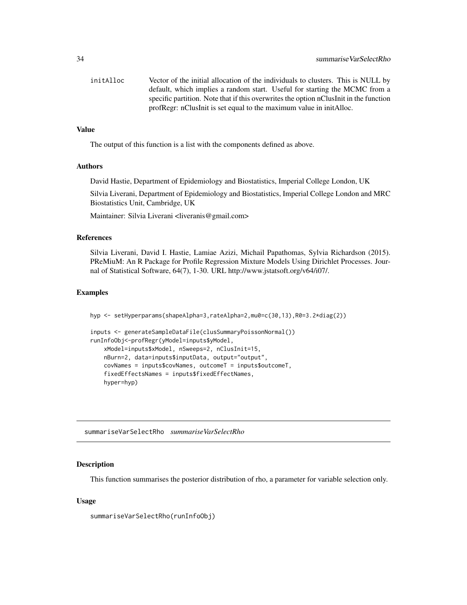<span id="page-33-0"></span>

| initAlloc | Vector of the initial allocation of the individuals to clusters. This is NULL by      |
|-----------|---------------------------------------------------------------------------------------|
|           | default, which implies a random start. Useful for starting the MCMC from a            |
|           | specific partition. Note that if this overwrites the option nClusInit in the function |
|           | profRegr: nClusInit is set equal to the maximum value in initAlloc.                   |

#### Value

The output of this function is a list with the components defined as above.

#### Authors

David Hastie, Department of Epidemiology and Biostatistics, Imperial College London, UK

Silvia Liverani, Department of Epidemiology and Biostatistics, Imperial College London and MRC Biostatistics Unit, Cambridge, UK

Maintainer: Silvia Liverani <liveranis@gmail.com>

#### References

Silvia Liverani, David I. Hastie, Lamiae Azizi, Michail Papathomas, Sylvia Richardson (2015). PReMiuM: An R Package for Profile Regression Mixture Models Using Dirichlet Processes. Journal of Statistical Software, 64(7), 1-30. URL http://www.jstatsoft.org/v64/i07/.

### Examples

hyp <- setHyperparams(shapeAlpha=3,rateAlpha=2,mu0=c(30,13),R0=3.2\*diag(2))

```
inputs <- generateSampleDataFile(clusSummaryPoissonNormal())
runInfoObj<-profRegr(yModel=inputs$yModel,
   xModel=inputs$xModel, nSweeps=2, nClusInit=15,
   nBurn=2, data=inputs$inputData, output="output",
   covNames = inputs$covNames, outcomeT = inputs$outcomeT,
   fixedEffectsNames = inputs$fixedEffectNames,
   hyper=hyp)
```
summariseVarSelectRho *summariseVarSelectRho*

#### Description

This function summarises the posterior distribution of rho, a parameter for variable selection only.

#### Usage

summariseVarSelectRho(runInfoObj)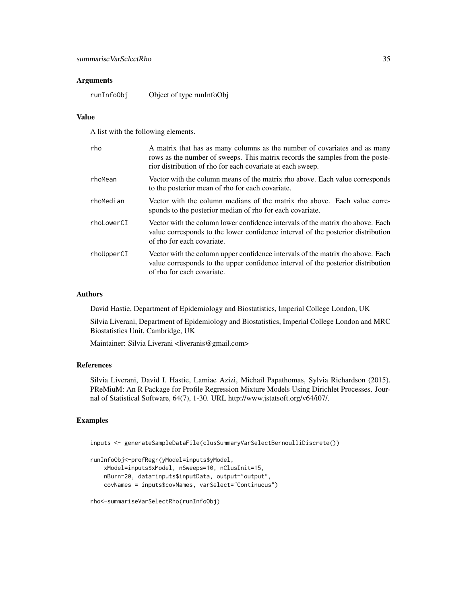#### Arguments

runInfoObj Object of type runInfoObj

#### Value

A list with the following elements.

| rho         | A matrix that has as many columns as the number of covariates and as many<br>rows as the number of sweeps. This matrix records the samples from the poste-<br>rior distribution of rho for each covariate at each sweep. |
|-------------|--------------------------------------------------------------------------------------------------------------------------------------------------------------------------------------------------------------------------|
| rhoMean     | Vector with the column means of the matrix rho above. Each value corresponds<br>to the posterior mean of rho for each covariate.                                                                                         |
| rhoMedian   | Vector with the column medians of the matrix rho above. Each value corre-<br>sponds to the posterior median of rho for each covariate.                                                                                   |
| rhol owerCT | Vector with the column lower confidence intervals of the matrix rho above. Each<br>value corresponds to the lower confidence interval of the posterior distribution<br>of rho for each covariate.                        |
| rhoUpperCI  | Vector with the column upper confidence intervals of the matrix rho above. Each<br>value corresponds to the upper confidence interval of the posterior distribution<br>of rho for each covariate.                        |

#### Authors

David Hastie, Department of Epidemiology and Biostatistics, Imperial College London, UK

Silvia Liverani, Department of Epidemiology and Biostatistics, Imperial College London and MRC Biostatistics Unit, Cambridge, UK

Maintainer: Silvia Liverani <liveranis@gmail.com>

#### References

Silvia Liverani, David I. Hastie, Lamiae Azizi, Michail Papathomas, Sylvia Richardson (2015). PReMiuM: An R Package for Profile Regression Mixture Models Using Dirichlet Processes. Journal of Statistical Software, 64(7), 1-30. URL http://www.jstatsoft.org/v64/i07/.

# Examples

inputs <- generateSampleDataFile(clusSummaryVarSelectBernoulliDiscrete())

```
runInfoObj<-profRegr(yModel=inputs$yModel,
   xModel=inputs$xModel, nSweeps=10, nClusInit=15,
   nBurn=20, data=inputs$inputData, output="output",
   covNames = inputs$covNames, varSelect="Continuous")
```

```
rho<-summariseVarSelectRho(runInfoObj)
```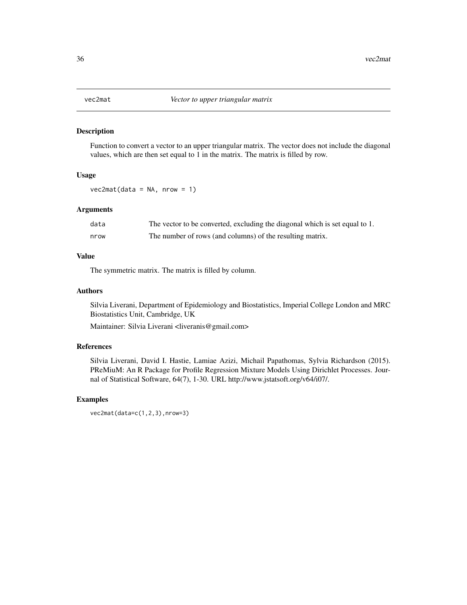<span id="page-35-0"></span>

### Description

Function to convert a vector to an upper triangular matrix. The vector does not include the diagonal values, which are then set equal to 1 in the matrix. The matrix is filled by row.

#### Usage

 $vec2mat(data = NA, nrow = 1)$ 

# Arguments

| data | The vector to be converted, excluding the diagonal which is set equal to 1. |
|------|-----------------------------------------------------------------------------|
| nrow | The number of rows (and columns) of the resulting matrix.                   |

# Value

The symmetric matrix. The matrix is filled by column.

# Authors

Silvia Liverani, Department of Epidemiology and Biostatistics, Imperial College London and MRC Biostatistics Unit, Cambridge, UK

Maintainer: Silvia Liverani <liveranis@gmail.com>

# References

Silvia Liverani, David I. Hastie, Lamiae Azizi, Michail Papathomas, Sylvia Richardson (2015). PReMiuM: An R Package for Profile Regression Mixture Models Using Dirichlet Processes. Journal of Statistical Software, 64(7), 1-30. URL http://www.jstatsoft.org/v64/i07/.

# Examples

```
vec2mat(data=c(1,2,3),nrow=3)
```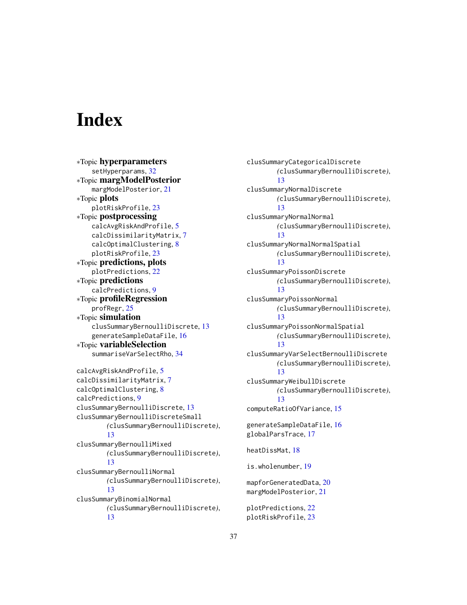# <span id="page-36-0"></span>**Index**

∗Topic hyperparameters setHyperparams, [32](#page-31-0) ∗Topic margModelPosterior margModelPosterior, [21](#page-20-0) ∗Topic plots plotRiskProfile, [23](#page-22-0) ∗Topic postprocessing calcAvgRiskAndProfile, [5](#page-4-0) calcDissimilarityMatrix, [7](#page-6-0) calcOptimalClustering, [8](#page-7-0) plotRiskProfile, [23](#page-22-0) ∗Topic predictions, plots plotPredictions, [22](#page-21-0) ∗Topic predictions calcPredictions, [9](#page-8-0) ∗Topic profileRegression profRegr, [25](#page-24-0) ∗Topic simulation clusSummaryBernoulliDiscrete, [13](#page-12-0) generateSampleDataFile, [16](#page-15-0) ∗Topic variableSelection summariseVarSelectRho, [34](#page-33-0) calcAvgRiskAndProfile, [5](#page-4-0) calcDissimilarityMatrix, [7](#page-6-0) calcOptimalClustering, [8](#page-7-0) calcPredictions, [9](#page-8-0) clusSummaryBernoulliDiscrete, [13](#page-12-0) clusSummaryBernoulliDiscreteSmall *(*clusSummaryBernoulliDiscrete*)*, [13](#page-12-0) clusSummaryBernoulliMixed *(*clusSummaryBernoulliDiscrete*)*, [13](#page-12-0) clusSummaryBernoulliNormal *(*clusSummaryBernoulliDiscrete*)*, [13](#page-12-0) clusSummaryBinomialNormal *(*clusSummaryBernoulliDiscrete*)*, [13](#page-12-0)

clusSummaryCategoricalDiscrete *(*clusSummaryBernoulliDiscrete*)*, [13](#page-12-0) clusSummaryNormalDiscrete *(*clusSummaryBernoulliDiscrete*)*, [13](#page-12-0) clusSummaryNormalNormal *(*clusSummaryBernoulliDiscrete*)*, [13](#page-12-0) clusSummaryNormalNormalSpatial *(*clusSummaryBernoulliDiscrete*)*, [13](#page-12-0) clusSummaryPoissonDiscrete *(*clusSummaryBernoulliDiscrete*)*, [13](#page-12-0) clusSummaryPoissonNormal *(*clusSummaryBernoulliDiscrete*)*, [13](#page-12-0) clusSummaryPoissonNormalSpatial *(*clusSummaryBernoulliDiscrete*)*, [13](#page-12-0) clusSummaryVarSelectBernoulliDiscrete *(*clusSummaryBernoulliDiscrete*)*, [13](#page-12-0) clusSummaryWeibullDiscrete *(*clusSummaryBernoulliDiscrete*)*, [13](#page-12-0) computeRatioOfVariance, [15](#page-14-0) generateSampleDataFile, [16](#page-15-0) globalParsTrace, [17](#page-16-0) heatDissMat, [18](#page-17-0) is.wholenumber, [19](#page-18-0) mapforGeneratedData, [20](#page-19-0) margModelPosterior, [21](#page-20-0)

plotPredictions, [22](#page-21-0) plotRiskProfile, [23](#page-22-0)